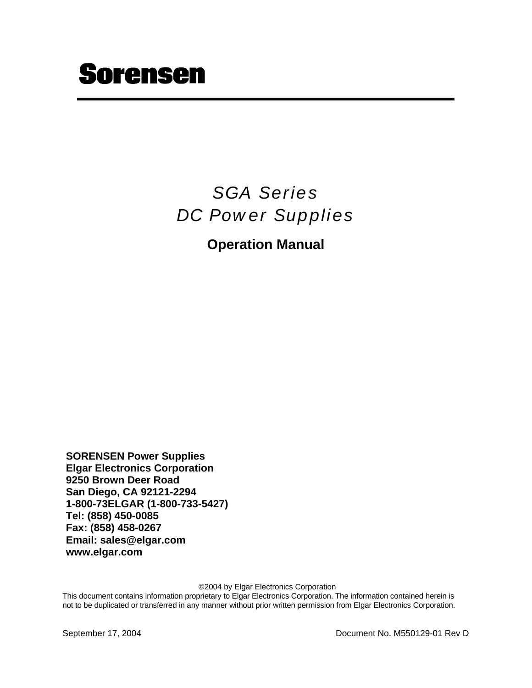# **Sorensen**

# *SGA Series DC Power Supplies*

### **Operation Manual**

**SORENSEN Power Supplies Elgar Electronics Corporation 9250 Brown Deer Road San Diego, CA 92121-2294 1-800-73ELGAR (1-800-733-5427) Tel: (858) 450-0085 Fax: (858) 458-0267 Email: sales@elgar.com www.elgar.com**

©2004 by Elgar Electronics Corporation

This document contains information proprietary to Elgar Electronics Corporation. The information contained herein is not to be duplicated or transferred in any manner without prior written permission from Elgar Electronics Corporation.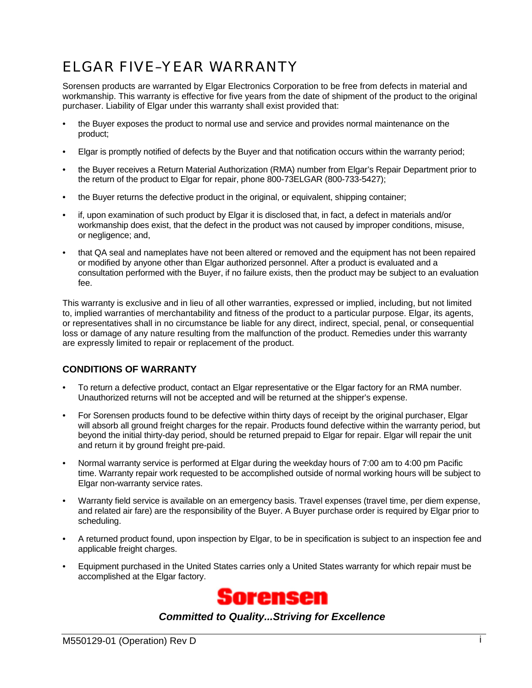## ELGAR FIVE–YEAR WARRANTY

Sorensen products are warranted by Elgar Electronics Corporation to be free from defects in material and workmanship. This warranty is effective for five years from the date of shipment of the product to the original purchaser. Liability of Elgar under this warranty shall exist provided that:

- the Buyer exposes the product to normal use and service and provides normal maintenance on the product;
- Elgar is promptly notified of defects by the Buyer and that notification occurs within the warranty period;
- the Buyer receives a Return Material Authorization (RMA) number from Elgar's Repair Department prior to the return of the product to Elgar for repair, phone 800-73ELGAR (800-733-5427);
- the Buyer returns the defective product in the original, or equivalent, shipping container;
- if, upon examination of such product by Elgar it is disclosed that, in fact, a defect in materials and/or workmanship does exist, that the defect in the product was not caused by improper conditions, misuse, or negligence; and,
- that QA seal and nameplates have not been altered or removed and the equipment has not been repaired or modified by anyone other than Elgar authorized personnel. After a product is evaluated and a consultation performed with the Buyer, if no failure exists, then the product may be subject to an evaluation fee.

This warranty is exclusive and in lieu of all other warranties, expressed or implied, including, but not limited to, implied warranties of merchantability and fitness of the product to a particular purpose. Elgar, its agents, or representatives shall in no circumstance be liable for any direct, indirect, special, penal, or consequential loss or damage of any nature resulting from the malfunction of the product. Remedies under this warranty are expressly limited to repair or replacement of the product.

### **CONDITIONS OF WARRANTY**

- To return a defective product, contact an Elgar representative or the Elgar factory for an RMA number. Unauthorized returns will not be accepted and will be returned at the shipper's expense.
- For Sorensen products found to be defective within thirty days of receipt by the original purchaser, Elgar will absorb all ground freight charges for the repair. Products found defective within the warranty period, but beyond the initial thirty-day period, should be returned prepaid to Elgar for repair. Elgar will repair the unit and return it by ground freight pre-paid.
- Normal warranty service is performed at Elgar during the weekday hours of 7:00 am to 4:00 pm Pacific time. Warranty repair work requested to be accomplished outside of normal working hours will be subject to Elgar non-warranty service rates.
- Warranty field service is available on an emergency basis. Travel expenses (travel time, per diem expense, and related air fare) are the responsibility of the Buyer. A Buyer purchase order is required by Elgar prior to scheduling.
- A returned product found, upon inspection by Elgar, to be in specification is subject to an inspection fee and applicable freight charges.
- Equipment purchased in the United States carries only a United States warranty for which repair must be accomplished at the Elgar factory.



*Committed to Quality...Striving for Excellence*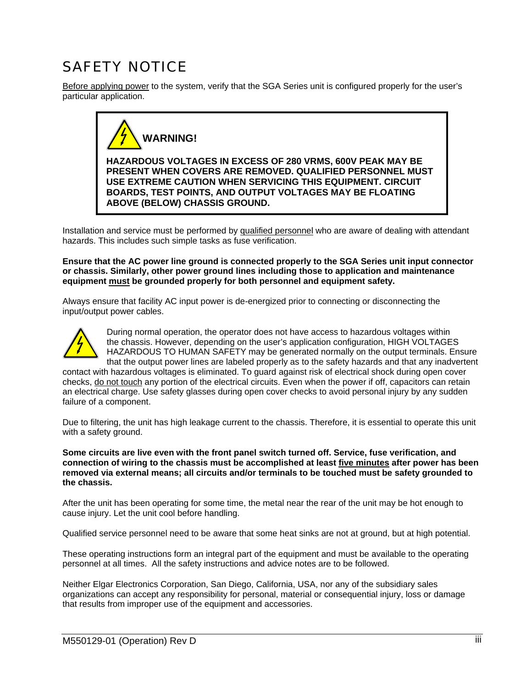## SAFETY NOTICE

Before applying power to the system, verify that the SGA Series unit is configured properly for the user's particular application.



Installation and service must be performed by qualified personnel who are aware of dealing with attendant hazards. This includes such simple tasks as fuse verification.

**Ensure that the AC power line ground is connected properly to the SGA Series unit input connector or chassis. Similarly, other power ground lines including those to application and maintenance equipment must be grounded properly for both personnel and equipment safety.**

Always ensure that facility AC input power is de-energized prior to connecting or disconnecting the input/output power cables.



During normal operation, the operator does not have access to hazardous voltages within the chassis. However, depending on the user's application configuration, HIGH VOLTAGES HAZARDOUS TO HUMAN SAFETY may be generated normally on the output terminals. Ensure that the output power lines are labeled properly as to the safety hazards and that any inadvertent

contact with hazardous voltages is eliminated. To guard against risk of electrical shock during open cover checks, do not touch any portion of the electrical circuits. Even when the power if off, capacitors can retain an electrical charge. Use safety glasses during open cover checks to avoid personal injury by any sudden failure of a component.

Due to filtering, the unit has high leakage current to the chassis. Therefore, it is essential to operate this unit with a safety ground.

**Some circuits are live even with the front panel switch turned off. Service, fuse verification, and connection of wiring to the chassis must be accomplished at least five minutes after power has been removed via external means; all circuits and/or terminals to be touched must be safety grounded to the chassis.**

After the unit has been operating for some time, the metal near the rear of the unit may be hot enough to cause injury. Let the unit cool before handling.

Qualified service personnel need to be aware that some heat sinks are not at ground, but at high potential.

These operating instructions form an integral part of the equipment and must be available to the operating personnel at all times. All the safety instructions and advice notes are to be followed.

Neither Elgar Electronics Corporation, San Diego, California, USA, nor any of the subsidiary sales organizations can accept any responsibility for personal, material or consequential injury, loss or damage that results from improper use of the equipment and accessories.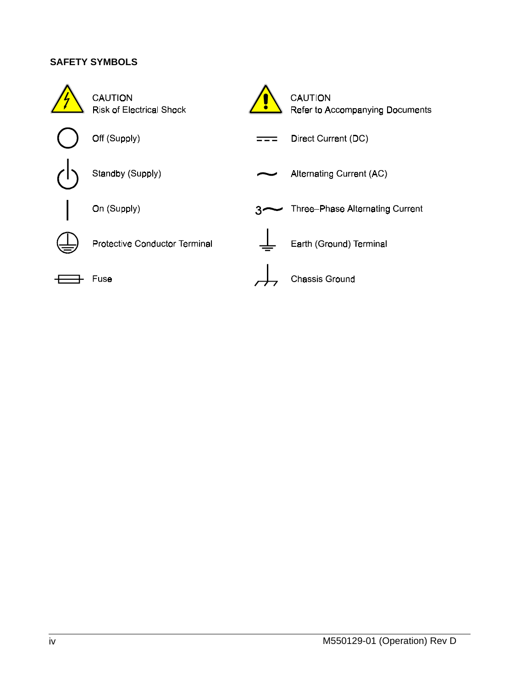### **SAFETY SYMBOLS**

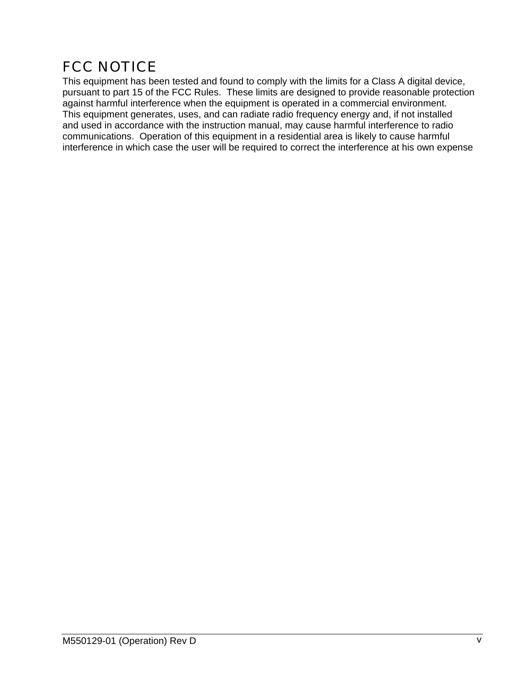## FCC NOTICE

This equipment has been tested and found to comply with the limits for a Class A digital device, pursuant to part 15 of the FCC Rules. These limits are designed to provide reasonable protection against harmful interference when the equipment is operated in a commercial environment. This equipment generates, uses, and can radiate radio frequency energy and, if not installed and used in accordance with the instruction manual, may cause harmful interference to radio communications. Operation of this equipment in a residential area is likely to cause harmful interference in which case the user will be required to correct the interference at his own expense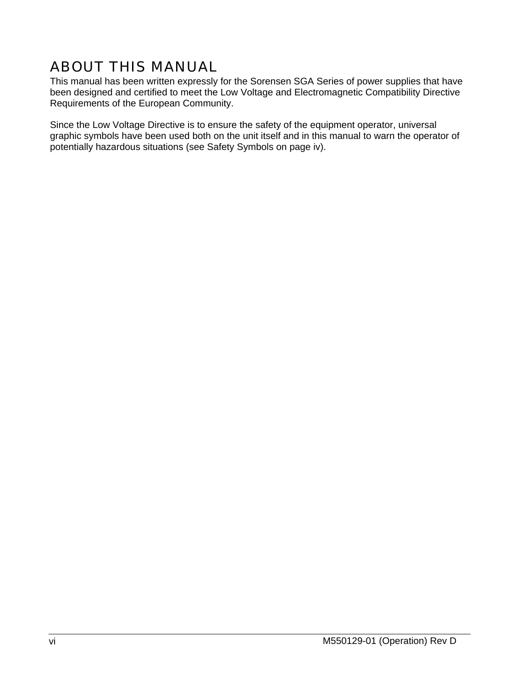## ABOUT THIS MANUAL

This manual has been written expressly for the Sorensen SGA Series of power supplies that have been designed and certified to meet the Low Voltage and Electromagnetic Compatibility Directive Requirements of the European Community.

Since the Low Voltage Directive is to ensure the safety of the equipment operator, universal graphic symbols have been used both on the unit itself and in this manual to warn the operator of potentially hazardous situations (see Safety Symbols on page iv).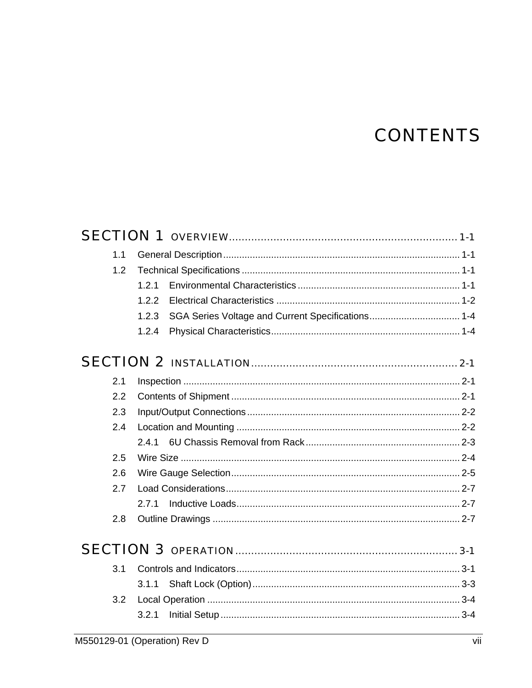# **CONTENTS**

| 1.1 |       |  |
|-----|-------|--|
| 1.2 |       |  |
|     | 1.2.1 |  |
|     | 1.2.2 |  |
|     | 1.2.3 |  |
|     | 1.2.4 |  |
|     |       |  |
| 2.1 |       |  |
| 2.2 |       |  |
| 2.3 |       |  |
| 2.4 |       |  |
|     |       |  |
| 2.5 |       |  |
| 2.6 |       |  |
| 2.7 |       |  |
|     | 2.7.1 |  |
| 2.8 |       |  |
|     |       |  |
| 3.1 |       |  |
|     | 3.1.1 |  |
| 3.2 |       |  |
|     | 3.2.1 |  |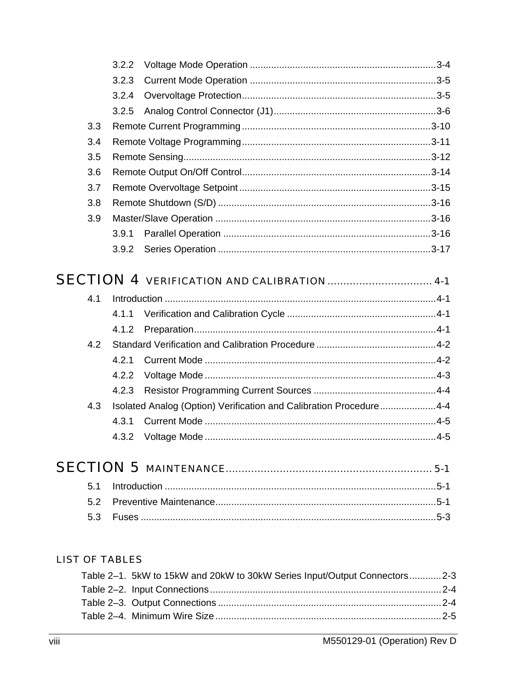|     | 3.2.2                                                              |  |
|-----|--------------------------------------------------------------------|--|
|     | 3.2.3                                                              |  |
|     | 3.2.4                                                              |  |
|     | 3.2.5                                                              |  |
| 3.3 |                                                                    |  |
| 3.4 |                                                                    |  |
| 3.5 |                                                                    |  |
| 3.6 |                                                                    |  |
| 3.7 |                                                                    |  |
| 3.8 |                                                                    |  |
| 3.9 |                                                                    |  |
|     | 3.9.1                                                              |  |
|     | 3.9.2                                                              |  |
|     | <b>SECTION 4 VERIFICATION AND CALIBRATION  4-1</b>                 |  |
| 4.1 |                                                                    |  |
|     | 4.1.1                                                              |  |
|     | 4.1.2                                                              |  |
| 4.2 |                                                                    |  |
|     | 4.2.1                                                              |  |
|     | 4.2.2                                                              |  |
|     | 4.2.3                                                              |  |
| 4.3 | Isolated Analog (Option) Verification and Calibration Procedure4-4 |  |
|     | 4.3.1                                                              |  |
|     | 4.3.2                                                              |  |
|     |                                                                    |  |
| 5.1 |                                                                    |  |
| 5.2 |                                                                    |  |

### **LIST OF TABLES**

| Table 2-1. 5kW to 15kW and 20kW to 30kW Series Input/Output Connectors2-3 |  |
|---------------------------------------------------------------------------|--|
|                                                                           |  |
|                                                                           |  |
|                                                                           |  |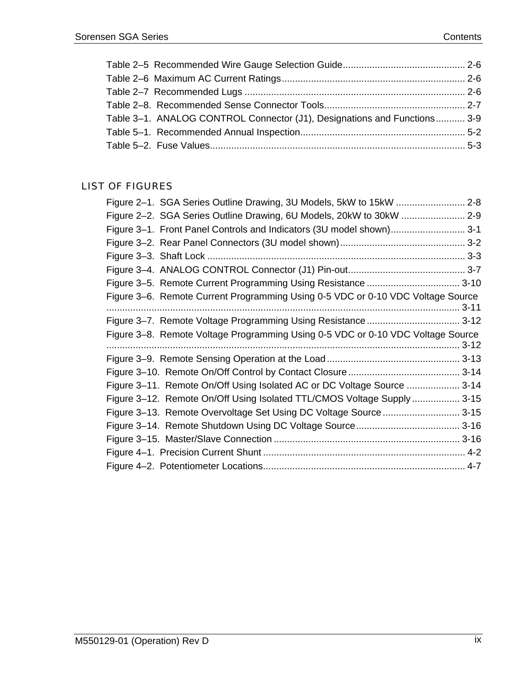| Table 3-1. ANALOG CONTROL Connector (J1), Designations and Functions 3-9 |  |
|--------------------------------------------------------------------------|--|
|                                                                          |  |
|                                                                          |  |

### LIST OF FIGURES

| Figure 2-1. SGA Series Outline Drawing, 3U Models, 5kW to 15kW  2-8             |          |
|---------------------------------------------------------------------------------|----------|
| Figure 2-2. SGA Series Outline Drawing, 6U Models, 20kW to 30kW  2-9            |          |
| Figure 3-1. Front Panel Controls and Indicators (3U model shown) 3-1            |          |
|                                                                                 |          |
|                                                                                 |          |
|                                                                                 |          |
| Figure 3-5. Remote Current Programming Using Resistance  3-10                   |          |
| Figure 3-6. Remote Current Programming Using 0-5 VDC or 0-10 VDC Voltage Source | $3 - 11$ |
|                                                                                 |          |
| Figure 3-8. Remote Voltage Programming Using 0-5 VDC or 0-10 VDC Voltage Source | $3-12$   |
|                                                                                 |          |
|                                                                                 |          |
| Figure 3-11. Remote On/Off Using Isolated AC or DC Voltage Source  3-14         |          |
| Figure 3-12. Remote On/Off Using Isolated TTL/CMOS Voltage Supply  3-15         |          |
| Figure 3-13. Remote Overvoltage Set Using DC Voltage Source 3-15                |          |
|                                                                                 |          |
|                                                                                 |          |
|                                                                                 |          |
|                                                                                 |          |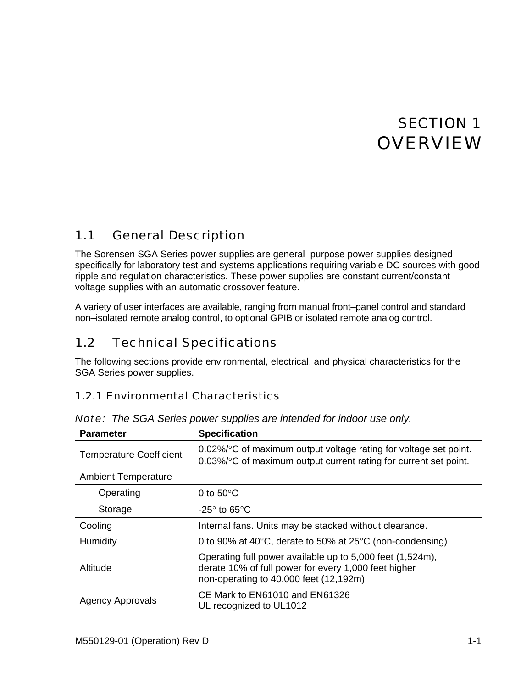# SECTION 1 **OVERVIEW**

#### <span id="page-9-0"></span>1.1 General Description

The Sorensen SGA Series power supplies are general–purpose power supplies designed specifically for laboratory test and systems applications requiring variable DC sources with good ripple and regulation characteristics. These power supplies are constant current/constant voltage supplies with an automatic crossover feature.

A variety of user interfaces are available, ranging from manual front–panel control and standard non–isolated remote analog control, to optional GPIB or isolated remote analog control.

#### 1.2 Technical Specifications

The following sections provide environmental, electrical, and physical characteristics for the SGA Series power supplies.

### 1.2.1 Environmental Characteristics

| <b>Parameter</b>               | <b>Specification</b>                                                                                                                                        |
|--------------------------------|-------------------------------------------------------------------------------------------------------------------------------------------------------------|
| <b>Temperature Coefficient</b> | 0.02%/°C of maximum output voltage rating for voltage set point.<br>0.03%/°C of maximum output current rating for current set point.                        |
| <b>Ambient Temperature</b>     |                                                                                                                                                             |
| Operating                      | 0 to $50^{\circ}$ C                                                                                                                                         |
| Storage                        | -25 $^{\circ}$ to 65 $^{\circ}$ C                                                                                                                           |
| Cooling                        | Internal fans. Units may be stacked without clearance.                                                                                                      |
| Humidity                       | 0 to 90% at 40°C, derate to 50% at 25°C (non-condensing)                                                                                                    |
| Altitude                       | Operating full power available up to 5,000 feet (1,524m),<br>derate 10% of full power for every 1,000 feet higher<br>non-operating to 40,000 feet (12,192m) |
| <b>Agency Approvals</b>        | CE Mark to EN61010 and EN61326<br>UL recognized to UL1012                                                                                                   |

*Note: The SGA Series power supplies are intended for indoor use only.*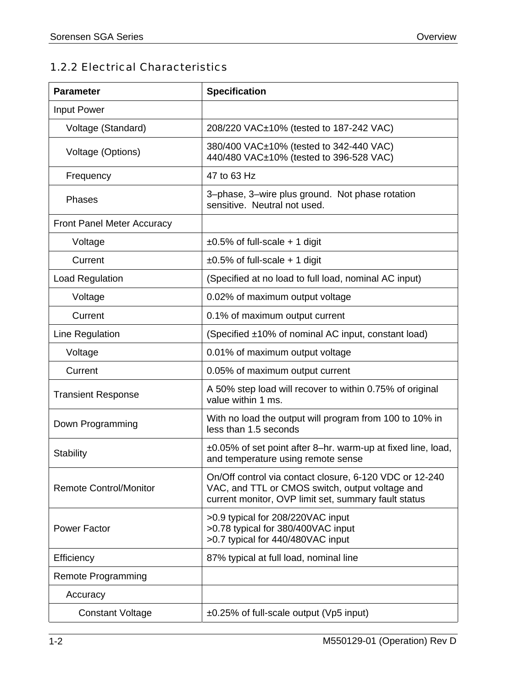### <span id="page-10-0"></span>1.2.2 Electrical Characteristics

| <b>Parameter</b>                  | <b>Specification</b>                                                                                                                                               |  |  |
|-----------------------------------|--------------------------------------------------------------------------------------------------------------------------------------------------------------------|--|--|
| <b>Input Power</b>                |                                                                                                                                                                    |  |  |
| Voltage (Standard)                | 208/220 VAC±10% (tested to 187-242 VAC)                                                                                                                            |  |  |
| Voltage (Options)                 | 380/400 VAC±10% (tested to 342-440 VAC)<br>440/480 VAC±10% (tested to 396-528 VAC)                                                                                 |  |  |
| Frequency                         | 47 to 63 Hz                                                                                                                                                        |  |  |
| Phases                            | 3-phase, 3-wire plus ground. Not phase rotation<br>sensitive. Neutral not used.                                                                                    |  |  |
| <b>Front Panel Meter Accuracy</b> |                                                                                                                                                                    |  |  |
| Voltage                           | $\pm 0.5\%$ of full-scale + 1 digit                                                                                                                                |  |  |
| Current                           | $\pm 0.5\%$ of full-scale + 1 digit                                                                                                                                |  |  |
| <b>Load Regulation</b>            | (Specified at no load to full load, nominal AC input)                                                                                                              |  |  |
| Voltage                           | 0.02% of maximum output voltage                                                                                                                                    |  |  |
| Current                           | 0.1% of maximum output current                                                                                                                                     |  |  |
| Line Regulation                   | (Specified ±10% of nominal AC input, constant load)                                                                                                                |  |  |
| Voltage                           | 0.01% of maximum output voltage                                                                                                                                    |  |  |
| Current                           | 0.05% of maximum output current                                                                                                                                    |  |  |
| <b>Transient Response</b>         | A 50% step load will recover to within 0.75% of original<br>value within 1 ms.                                                                                     |  |  |
| Down Programming                  | With no load the output will program from 100 to 10% in<br>less than 1.5 seconds                                                                                   |  |  |
| <b>Stability</b>                  | ±0.05% of set point after 8-hr. warm-up at fixed line, load,<br>and temperature using remote sense                                                                 |  |  |
| <b>Remote Control/Monitor</b>     | On/Off control via contact closure, 6-120 VDC or 12-240<br>VAC, and TTL or CMOS switch, output voltage and<br>current monitor, OVP limit set, summary fault status |  |  |
| <b>Power Factor</b>               | >0.9 typical for 208/220VAC input<br>>0.78 typical for 380/400VAC input<br>>0.7 typical for 440/480VAC input                                                       |  |  |
| Efficiency                        | 87% typical at full load, nominal line                                                                                                                             |  |  |
| <b>Remote Programming</b>         |                                                                                                                                                                    |  |  |
| Accuracy                          |                                                                                                                                                                    |  |  |
| <b>Constant Voltage</b>           | $\pm 0.25\%$ of full-scale output (Vp5 input)                                                                                                                      |  |  |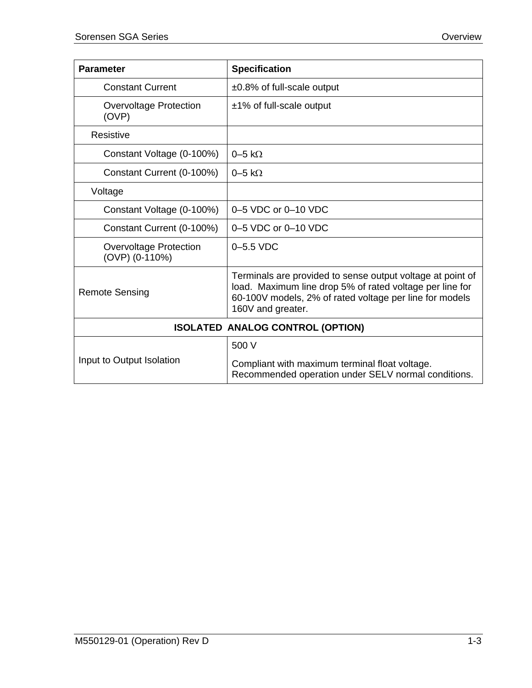| <b>Parameter</b>                                | <b>Specification</b>                                                                                                                                                                                   |
|-------------------------------------------------|--------------------------------------------------------------------------------------------------------------------------------------------------------------------------------------------------------|
| <b>Constant Current</b>                         | $\pm 0.8\%$ of full-scale output                                                                                                                                                                       |
| <b>Overvoltage Protection</b><br>(OVP)          | ±1% of full-scale output                                                                                                                                                                               |
| Resistive                                       |                                                                                                                                                                                                        |
| Constant Voltage (0-100%)                       | $0-5$ k $\Omega$                                                                                                                                                                                       |
| Constant Current (0-100%)                       | $0-5$ k $\Omega$                                                                                                                                                                                       |
| Voltage                                         |                                                                                                                                                                                                        |
| Constant Voltage (0-100%)                       | 0-5 VDC or 0-10 VDC                                                                                                                                                                                    |
| Constant Current (0-100%)                       | 0-5 VDC or 0-10 VDC                                                                                                                                                                                    |
| <b>Overvoltage Protection</b><br>(OVP) (0-110%) | $0-5.5$ VDC                                                                                                                                                                                            |
| <b>Remote Sensing</b>                           | Terminals are provided to sense output voltage at point of<br>load. Maximum line drop 5% of rated voltage per line for<br>60-100V models, 2% of rated voltage per line for models<br>160V and greater. |
|                                                 | <b>ISOLATED ANALOG CONTROL (OPTION)</b>                                                                                                                                                                |
|                                                 | 500 V                                                                                                                                                                                                  |
| Input to Output Isolation                       | Compliant with maximum terminal float voltage.<br>Recommended operation under SELV normal conditions.                                                                                                  |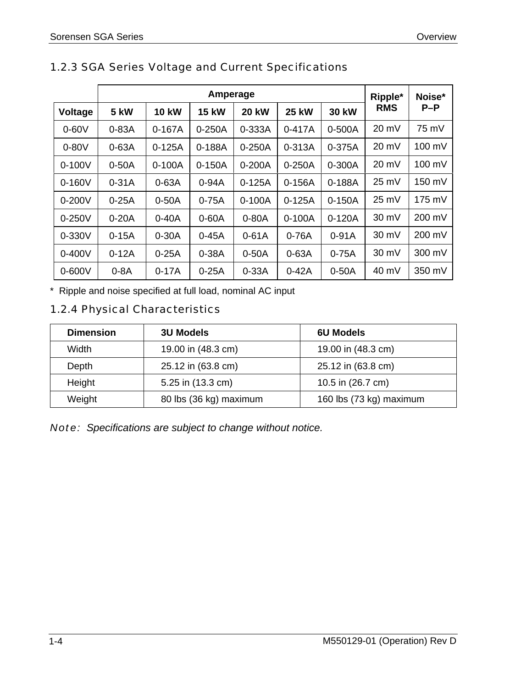|            | Amperage    |              |              | Ripple*      | Noise*       |              |                 |        |
|------------|-------------|--------------|--------------|--------------|--------------|--------------|-----------------|--------|
| Voltage    | <b>5 kW</b> | <b>10 kW</b> | <b>15 kW</b> | <b>20 kW</b> | <b>25 kW</b> | <b>30 kW</b> | <b>RMS</b>      | $P-P$  |
| $0-60V$    | $0-83A$     | $0-167A$     | $0-250A$     | 0-333A       | $0 - 417A$   | 0-500A       | 20 mV           | 75 mV  |
| $0-80V$    | $0-63A$     | $0-125A$     | $0 - 188A$   | $0 - 250A$   | 0-313A       | 0-375A       | $20 \text{ mV}$ | 100 mV |
| $0 - 100V$ | $0-50A$     | $0-100A$     | $0-150A$     | $0-200A$     | $0-250A$     | 0-300A       | 20 mV           | 100 mV |
| $0 - 160V$ | $0-31A$     | $0-63A$      | 0-94A        | $0-125A$     | $0 - 156A$   | $0 - 188A$   | 25 mV           | 150 mV |
| $0 - 200V$ | $0-25A$     | $0-50A$      | $0-75A$      | $0 - 100A$   | $0-125A$     | $0-150A$     | 25 mV           | 175 mV |
| $0 - 250V$ | $0-20A$     | $0-40A$      | $0-60A$      | $0-80A$      | $0 - 100A$   | $0-120A$     | $30 \text{ mV}$ | 200 mV |
| $0 - 330V$ | $0-15A$     | $0-30A$      | $0 - 45A$    | $0-61A$      | $0-76A$      | $0-91A$      | $30 \text{ mV}$ | 200 mV |
| $0 - 400V$ | $0-12A$     | $0-25A$      | $0-38A$      | $0-50A$      | $0-63A$      | $0-75A$      | $30 \text{ mV}$ | 300 mV |
| $0 - 600V$ | $0-8A$      | $0-17A$      | $0-25A$      | $0-33A$      | $0-42A$      | $0-50A$      | 40 mV           | 350 mV |

### <span id="page-12-0"></span>1.2.3 SGA Series Voltage and Current Specifications

\* Ripple and noise specified at full load, nominal AC input

### 1.2.4 Physical Characteristics

| <b>Dimension</b> | <b>3U Models</b>       | <b>6U Models</b>        |
|------------------|------------------------|-------------------------|
| Width            | 19.00 in (48.3 cm)     | 19.00 in (48.3 cm)      |
| Depth            | 25.12 in (63.8 cm)     | 25.12 in (63.8 cm)      |
| Height           | 5.25 in (13.3 cm)      | 10.5 in (26.7 cm)       |
| Weight           | 80 lbs (36 kg) maximum | 160 lbs (73 kg) maximum |

*Note: Specifications are subject to change without notice.*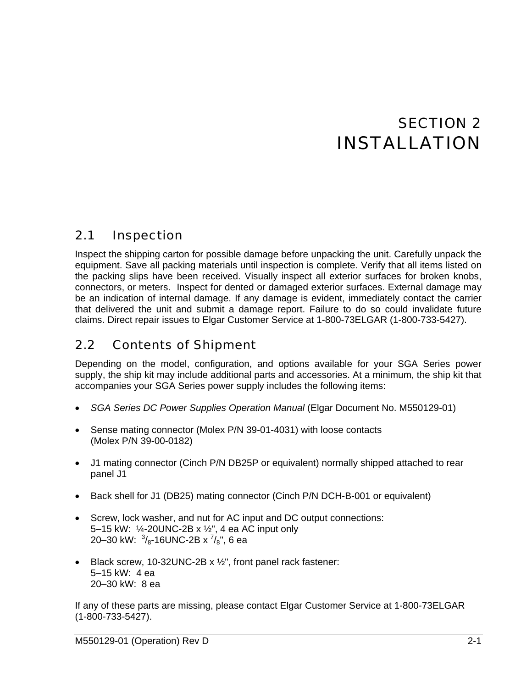# SECTION 2 INSTALLATION

### <span id="page-13-0"></span>2.1 Inspection

Inspect the shipping carton for possible damage before unpacking the unit. Carefully unpack the equipment. Save all packing materials until inspection is complete. Verify that all items listed on the packing slips have been received. Visually inspect all exterior surfaces for broken knobs, connectors, or meters. Inspect for dented or damaged exterior surfaces. External damage may be an indication of internal damage. If any damage is evident, immediately contact the carrier that delivered the unit and submit a damage report. Failure to do so could invalidate future claims. Direct repair issues to Elgar Customer Service at 1-800-73ELGAR (1-800-733-5427).

#### 2.2 Contents of Shipment

Depending on the model, configuration, and options available for your SGA Series power supply, the ship kit may include additional parts and accessories. At a minimum, the ship kit that accompanies your SGA Series power supply includes the following items:

- *SGA Series DC Power Supplies Operation Manual* (Elgar Document No. M550129-01)
- Sense mating connector (Molex P/N 39-01-4031) with loose contacts (Molex P/N 39-00-0182)
- J1 mating connector (Cinch P/N DB25P or equivalent) normally shipped attached to rear panel J1
- Back shell for J1 (DB25) mating connector (Cinch P/N DCH-B-001 or equivalent)
- Screw, lock washer, and nut for AC input and DC output connections: 5–15 kW: ¼-20UNC-2B x ½", 4 ea AC input only 20–30 kW:  $\frac{3}{8}$ -16UNC-2B x  $\frac{7}{8}$ ", 6 ea
- Black screw, 10-32UNC-2B x 1/2", front panel rack fastener: 5–15 kW: 4 ea 20–30 kW: 8 ea

If any of these parts are missing, please contact Elgar Customer Service at 1-800-73ELGAR (1-800-733-5427).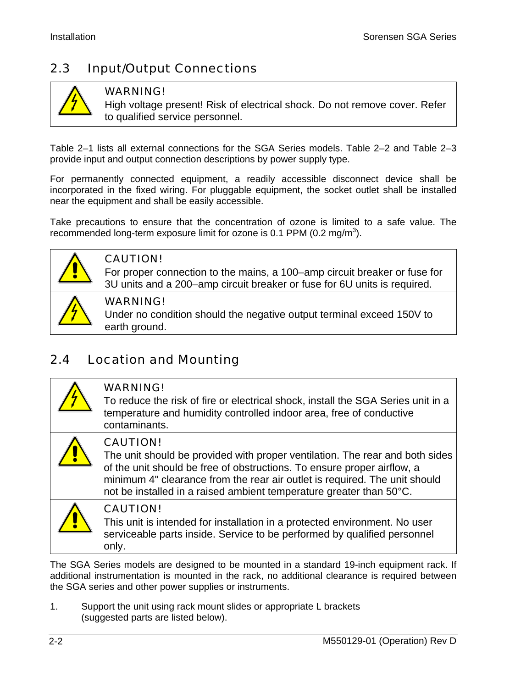## <span id="page-14-0"></span>2.3 Input/Output Connections



### WARNING!

High voltage present! Risk of electrical shock. Do not remove cover. Refer to qualified service personnel.

[Table 2–1](#page-16-0) lists all external connections for the SGA Series models. Table 2–2 and Table 2–3 provide input and output connection descriptions by power supply type[.](#page-16-0) 

For permanently connected equipment, a readily accessible disconnect device shall be incorporated in the fixed wiring. For pluggable equipment, the socket outlet shall be installed near the equipment and shall be easily accessible.

Take precautions to ensure that the concentration of ozone is limited to a safe value. The recommended long-term exposure limit for ozone is 0.1 PPM (0.2 mg/m<sup>3</sup>).



### CAUTION!

For proper connection to the mains, a 100–amp circuit breaker or fuse for 3U units and a 200–amp circuit breaker or fuse for 6U units is required.



### WARNING!

Under no condition should the negative output terminal exceed 150V to earth ground.

## 2.4 Location and Mounting



### WARNING!

To reduce the risk of fire or electrical shock, install the SGA Series unit in a temperature and humidity controlled indoor area, free of conductive contaminants.



### CAUTION!

The unit should be provided with proper ventilation. The rear and both sides of the unit should be free of obstructions. To ensure proper airflow, a minimum 4" clearance from the rear air outlet is required. The unit should not be installed in a raised ambient temperature greater than 50°C.



### CAUTION!

This unit is intended for installation in a protected environment. No user serviceable parts inside. Service to be performed by qualified personnel only.

The SGA Series models are designed to be mounted in a standard 19-inch equipment rack. If additional instrumentation is mounted in the rack, no additional clearance is required between the SGA series and other power supplies or instruments.

1. Support the unit using rack mount slides or appropriate L brackets (suggested parts are listed below).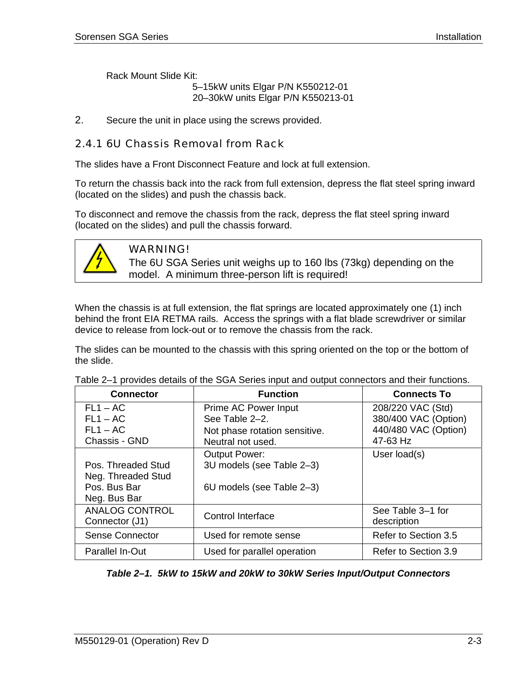<span id="page-15-0"></span>Rack Mount Slide Kit:

5–15kW units Elgar P/N K550212-01 20–30kW units Elgar P/N K550213-01

2. Secure the unit in place using the screws provided.

### 2.4.1 6U Chassis Removal from Rack

The slides have a Front Disconnect Feature and lock at full extension.

To return the chassis back into the rack from full extension, depress the flat steel spring inward (located on the slides) and push the chassis back.

To disconnect and remove the chassis from the rack, depress the flat steel spring inward (located on the slides) and pull the chassis forward.



### WARNING!

The 6U SGA Series unit weighs up to 160 lbs (73kg) depending on the model. A minimum three-person lift is required!

When the chassis is at full extension, the flat springs are located approximately one (1) inch behind the front EIA RETMA rails. Access the springs with a flat blade screwdriver or similar device to release from lock-out or to remove the chassis from the rack.

The slides can be mounted to the chassis with this spring oriented on the top or the bottom of the slide.

| <b>Connector</b>       | <b>Function</b>               | <b>Connects To</b>   |
|------------------------|-------------------------------|----------------------|
| $FL1 - AC$             | Prime AC Power Input          | 208/220 VAC (Std)    |
| $FL1 - AC$             | See Table 2-2.                | 380/400 VAC (Option) |
| $FL1 - AC$             | Not phase rotation sensitive. | 440/480 VAC (Option) |
| Chassis - GND          | Neutral not used.             | 47-63 Hz             |
|                        | <b>Output Power:</b>          | User load(s)         |
| Pos. Threaded Stud     | 3U models (see Table 2-3)     |                      |
| Neg. Threaded Stud     |                               |                      |
| Pos. Bus Bar           | 6U models (see Table 2-3)     |                      |
| Neg. Bus Bar           |                               |                      |
| <b>ANALOG CONTROL</b>  | <b>Control Interface</b>      | See Table 3-1 for    |
| Connector (J1)         |                               | description          |
| <b>Sense Connector</b> | Used for remote sense         | Refer to Section 3.5 |
| Parallel In-Out        | Used for parallel operation   | Refer to Section 3.9 |

Table 2–1 provides details of the SGA Series input and output connectors and their functions.

*Table 2–1. 5kW to 15kW and 20kW to 30kW Series Input/Output Connectors*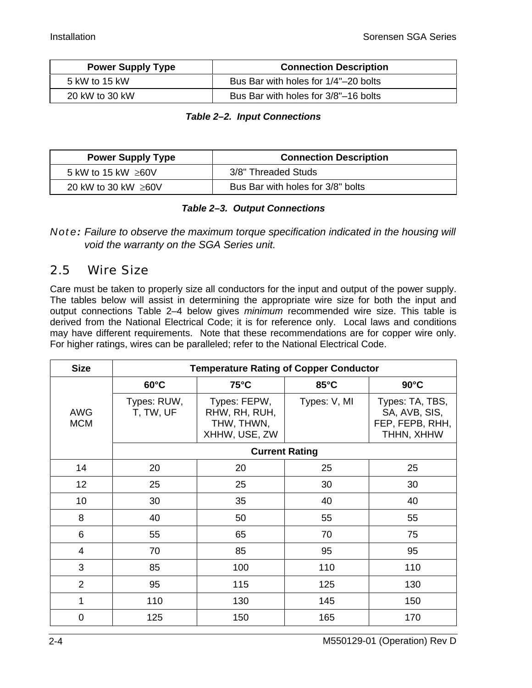<span id="page-16-0"></span>

| <b>Power Supply Type</b> | <b>Connection Description</b>        |
|--------------------------|--------------------------------------|
| 5 kW to 15 kW            | Bus Bar with holes for 1/4"-20 bolts |
| 20 kW to 30 kW           | Bus Bar with holes for 3/8"-16 bolts |

#### *Table 2–2. Input Connections*

| <b>Power Supply Type</b>  | <b>Connection Description</b>     |
|---------------------------|-----------------------------------|
| 5 kW to 15 kW $\geq$ 60V  | 3/8" Threaded Studs               |
| 20 kW to 30 kW $\geq 60V$ | Bus Bar with holes for 3/8" bolts |

### *Table 2–3. Output Connections*

*Note:* Failure to observe the maximum torque specification indicated in the ho[using](#page-37-0) will *void the warranty on the SGA Series unit.* 

### 2.5 Wire Size

Care must be taken to properly size all conductors for the input and output of the power supply. The tables below will assist in determining the appropriate wire size for both the input and output connections Table 2–4 below gives *minimum* recommended wire size. This table is derived from the National Electrical Code; it is for reference only. Local laws and conditions may have different requirements. Note that these recommendations are for copper wire only. For higher ratings, wires can be paralleled; refer to the National Electrical Code.

| <b>Size</b>              | <b>Temperature Rating of Copper Conductor</b> |                                                              |                |                                                                   |  |
|--------------------------|-----------------------------------------------|--------------------------------------------------------------|----------------|-------------------------------------------------------------------|--|
|                          | $60^{\circ}$ C                                | $75^{\circ}$ C                                               | $85^{\circ}$ C | $90^{\circ}$ C                                                    |  |
| <b>AWG</b><br><b>MCM</b> | Types: RUW,<br>T, TW, UF                      | Types: FEPW,<br>RHW, RH, RUH,<br>THW, THWN,<br>XHHW, USE, ZW | Types: V, MI   | Types: TA, TBS,<br>SA, AVB, SIS,<br>FEP, FEPB, RHH,<br>THHN, XHHW |  |
|                          |                                               | <b>Current Rating</b>                                        |                |                                                                   |  |
| 14                       | 20                                            | 20                                                           | 25             | 25                                                                |  |
| 12                       | 25                                            | 25                                                           | 30             | 30                                                                |  |
| 10                       | 30                                            | 35                                                           | 40             | 40                                                                |  |
| 8                        | 40                                            | 50                                                           | 55             | 55                                                                |  |
| 6                        | 55                                            | 65                                                           | 70             | 75                                                                |  |
| $\overline{4}$           | 70                                            | 85                                                           | 95             | 95                                                                |  |
| 3                        | 85                                            | 100                                                          | 110            | 110                                                               |  |
| $\overline{2}$           | 95                                            | 115                                                          | 125            | 130                                                               |  |
| 1                        | 110                                           | 130                                                          | 145            | 150                                                               |  |
| $\mathbf 0$              | 125                                           | 150                                                          | 165            | 170                                                               |  |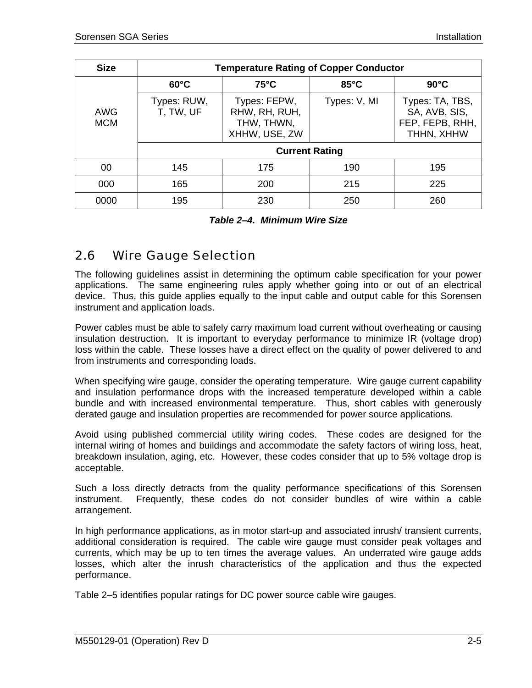<span id="page-17-0"></span>

| <b>Size</b>              | <b>Temperature Rating of Copper Conductor</b> |                                                              |                |                                                                   |  |  |
|--------------------------|-----------------------------------------------|--------------------------------------------------------------|----------------|-------------------------------------------------------------------|--|--|
|                          | $60^{\circ}$ C                                | $75^{\circ}$ C                                               | $85^{\circ}$ C | $90^{\circ}$ C                                                    |  |  |
| <b>AWG</b><br><b>MCM</b> | Types: RUW,<br>T, TW, UF                      | Types: FEPW,<br>RHW, RH, RUH,<br>THW, THWN,<br>XHHW, USE, ZW | Types: V, MI   | Types: TA, TBS,<br>SA, AVB, SIS,<br>FEP, FEPB, RHH,<br>THHN, XHHW |  |  |
|                          | <b>Current Rating</b>                         |                                                              |                |                                                                   |  |  |
| 00                       | 145                                           | 175                                                          | 190            | 195                                                               |  |  |
| 000                      | 165                                           | 200                                                          | 215            | 225                                                               |  |  |
| 0000                     | 195                                           | 230                                                          | 250            | 260                                                               |  |  |

*Table 2–4. Minimum Wire Size* 

### 2.6 Wire Gauge Selection

The following guidelines assist in determining the optimum cable specification for your power applications. The same engineering rules apply whether going into or out of an electrical device. Thus, this guide applies equally to the input cable and output cable for this Sorensen instrument and application loads.

Power cables must be able to safely carry maximum load current without overheating or causing insulation destruction. It is important to everyday performance to minimize IR (voltage drop) loss within the cable. These losses have a direct effect on the quality of power delivered to and from instruments and corresponding loads.

When specifying wire gauge, consider the operating temperature. Wire gauge current capability and insulation performance drops with the increased temperature developed within a cable bundle and with increased environmental temperature. Thus, short cables with generously derated gauge and insulation properties are recommended for power source applications.

Avoid using published commercial utility wiring codes. These codes are designed for the internal wiring of homes and buildings and accommodate the safety factors of wiring loss, heat, breakdown insulation, aging, etc. However, these codes consider that up to 5% voltage drop is acceptable.

Such a loss directly detracts from the quality performance specifications of this Sorensen instrument. Frequently, these codes do not consider bundles of wire within a cable arrangement.

In high performance applications, as in motor start-up and associated inrush/ transient currents, additional consideration is required. The cable wire gauge must consider peak voltages and currents, which may be up to ten times the average values. An underrated wire gauge adds losses, which alter the inrush characteristics of the application and thus the expected performance.

Table 2–5 identifies popular ratings for DC power source cable wire gauges.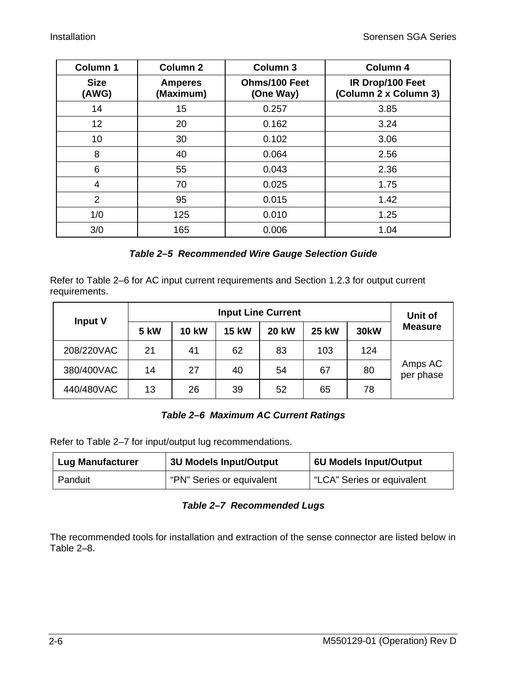<span id="page-18-0"></span>

| Column <sub>1</sub>  | Column <sub>2</sub>         | <b>Column 3</b>            | Column 4                                  |
|----------------------|-----------------------------|----------------------------|-------------------------------------------|
| <b>Size</b><br>(AWG) | <b>Amperes</b><br>(Maximum) | Ohms/100 Feet<br>(One Way) | IR Drop/100 Feet<br>(Column 2 x Column 3) |
| 14                   | 15                          | 0.257                      | 3.85                                      |
| 12 <sub>2</sub>      | 20                          | 0.162                      | 3.24                                      |
| 10                   | 30                          | 0.102                      | 3.06                                      |
| 8                    | 40                          | 0.064                      | 2.56                                      |
| 6                    | 55                          | 0.043                      | 2.36                                      |
| 4                    | 70                          | 0.025                      | 1.75                                      |
| $\overline{2}$       | 95                          | 0.015                      | 1.42                                      |
| 1/0                  | 125                         | 0.010                      | 1.25                                      |
| 3/0                  | 165                         | 0.006                      | 1.04                                      |

### *Table 2–5 Recommended Wire Gauge Selection Guide*

Refer to Table 2–6 for AC input current requirements and Section 1.2.3 for output current requirements.

| <b>Input V</b> | <b>Input Line Current</b> |              |              |              |              | Unit of     |                      |
|----------------|---------------------------|--------------|--------------|--------------|--------------|-------------|----------------------|
|                | <b>5 kW</b>               | <b>10 kW</b> | <b>15 kW</b> | <b>20 kW</b> | <b>25 kW</b> | <b>30kW</b> | <b>Measure</b>       |
| 208/220VAC     | 21                        | 41           | 62           | 83           | 103          | 124         |                      |
| 380/400VAC     | 14                        | 27           | 40           | 54           | 67           | 80          | Amps AC<br>per phase |
| 440/480VAC     | 13                        | 26           | 39           | 52           | 65           | 78          |                      |

### *Table 2–6 Maximum AC Current Ratings*

Refer to Table 2–7 for input/output lug recommendations.

| <b>Lug Manufacturer</b> | 3U Models Input/Output    | 6U Models Input/Output     |  |
|-------------------------|---------------------------|----------------------------|--|
| Panduit                 | "PN" Series or equivalent | "LCA" Series or equivalent |  |

### *Table 2–7 Recommended Lugs*

The recommended tools for installation and extraction of the sense connector are listed below in Table 2–8.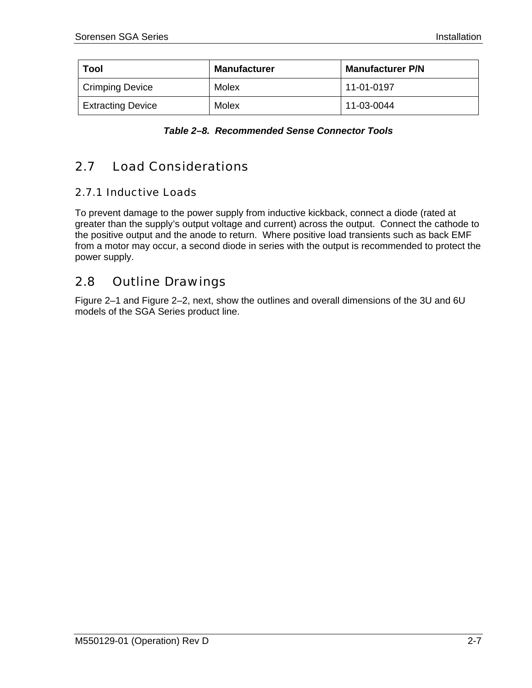<span id="page-19-0"></span>

| <b>Tool</b>              | <b>Manufacturer</b> | <b>Manufacturer P/N</b> |
|--------------------------|---------------------|-------------------------|
| Crimping Device          | Molex               | 11-01-0197              |
| <b>Extracting Device</b> | Molex               | 11-03-0044              |

|  | Table 2-8. Recommended Sense Connector Tools |  |  |
|--|----------------------------------------------|--|--|
|--|----------------------------------------------|--|--|

#### 2.7 Load Considerations

### 2.7.1 Inductive Loads

To prevent damage to the power supply from inductive kickback, connect a diode (rated at greater than the supply's output voltage and current) across the output. Connect the cathode to the positive output and the anode to return. Where positive load transients such as back EMF from a motor may occur, a second diode in series with the output is recommended to protect the power supply.

#### 2.8 Outline Drawings

Figure 2–1 and Figure 2–2, next, show the outlines and overall dimensions of the 3U and 6U models of the SGA Series product line.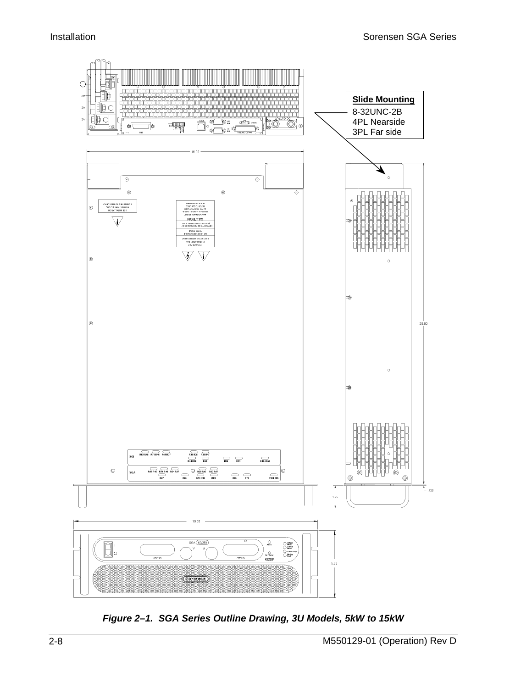<span id="page-20-0"></span>

*Figure 2–1. SGA Series Outline Drawing, 3U Models, 5kW to 15kW*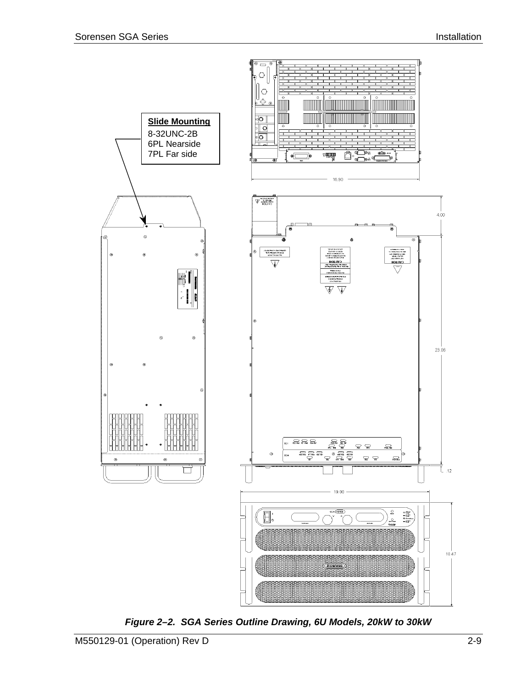<span id="page-21-0"></span>

*Figure 2–2. SGA Series Outline Drawing, 6U Models, 20kW to 30kW*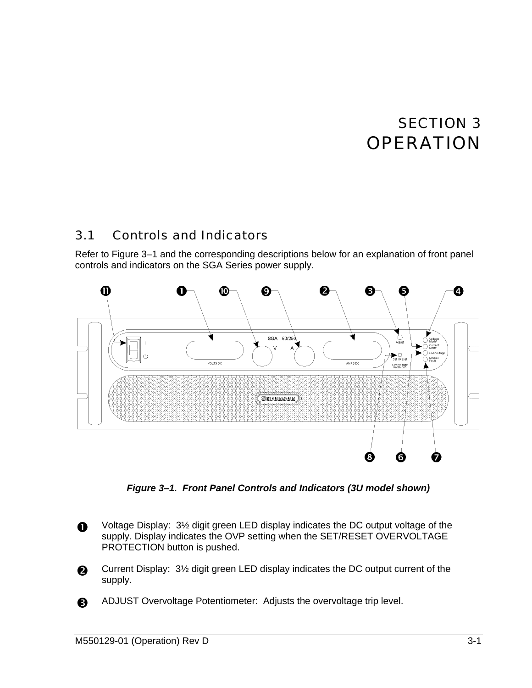# SECTION 3 **OPERATION**

#### <span id="page-22-0"></span>3.1 Controls and Indicators

Refer to Figure 3–1 and the corresponding descriptions below for an explanation of front panel controls and indicators on the SGA Series power supply.



*Figure 3–1. Front Panel Controls and Indicators (3U model shown)* 

- Voltage Display: 3½ digit green LED display indicates the DC output voltage of the supply. Display indicates the OVP setting when the SET/RESET OVERVOLTAGE PROTECTION button is pushed.
- **Q** Current Display: 3<sup>1/2</sup> digit green LED display indicates the DC output current of the supply.
- **B** ADJUST Overvoltage Potentiometer: Adjusts the overvoltage trip level.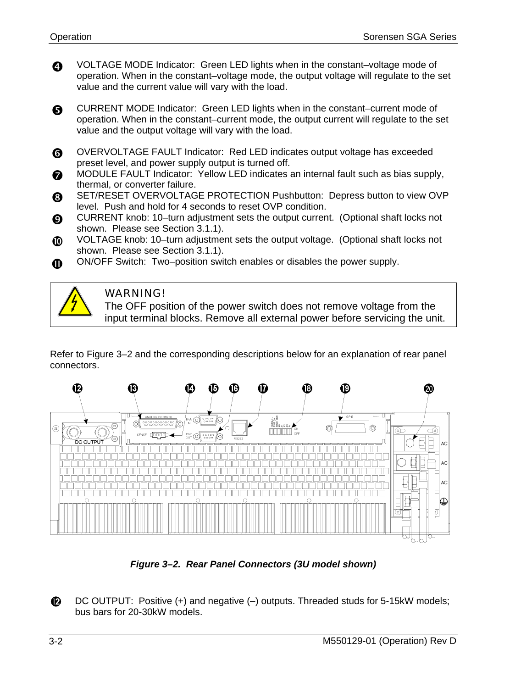<span id="page-23-0"></span>**Q VOLTAGE MODE Indicator: Green LED lights when in the constant-voltage mode of** operation. When in the constant–voltage mode, the output voltage will regulate to the set value and the current value will vary with the load.

G CURRENT MODE Indicator: Green LED lights when in the constant–current mode of operation. When in the constant–current mode, the output current will regulate to the set value and the output voltage will vary with the load.

- **6** OVERVOLTAGE FAULT Indicator: Red LED indicates output voltage has exceeded preset level, and power supply output is turned off.
- **6** MODULE FAULT Indicator: Yellow LED indicates an internal fault such as bias supply, thermal, or converter failure.
- **8** SET/RESET OVERVOLTAGE PROTECTION Pushbutton: Depress button to view OVP level. Push and hold for 4 seconds to reset OVP condition.
- **O** CURRENT knob: 10–turn adjustment sets the output current. (Optional shaft locks not shown. Please see Section 3.1.1).
- WOLTAGE knob: 10-turn adjustment sets the output voltage. (Optional shaft locks not shown. Please see Section 3.1.1).
- ON/OFF Switch: Two–position switch enables or disables the power supply.  $\bf{D}$

### WARNING!

The OFF position of the power switch does not remove voltage from the input terminal blocks. Remove all external power before servicing the unit.

Refer to Figure 3–2 and the corresponding descriptions below for an explanation of rear panel connectors.



*Figure 3–2. Rear Panel Connectors (3U model shown)* 

 $\mathbf{D}$ DC OUTPUT: Positive (+) and negative (–) outputs. Threaded studs for 5-15kW models; bus bars for 20-30kW models.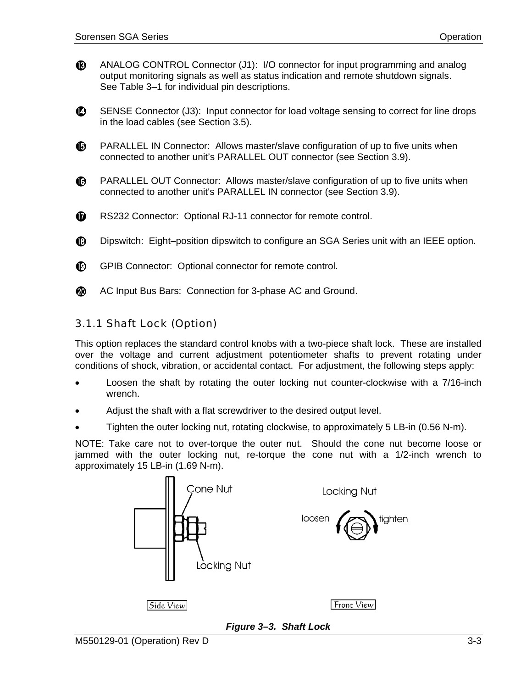- <span id="page-24-0"></span> $\mathbf{D}$ ANALOG CONTROL Connector (J1): I/O connector for input programming and analog output monitoring signals as well as status indication and remote shutdown signals. See [Table 3–1](#page-30-0) for individual pin descriptions.
- $\mathbf D$ SENSE Connector (J3): Input connector for load voltage sensing to correct for line drops in the load cables (see Section [3.5\)](#page-34-0).
- $\mathbf{D}$ PARALLEL IN Connector: Allows master/slave configuration of up to five units when connected to another unit's PARALLEL OUT connector (see Section [3.9\)](#page-37-0).
- PARALLEL OUT Connector: Allows master/slave configuration of up to five units when  $\mathbf{O}$ connected to another unit's PARALLEL IN connector (see Section [3.9\)](#page-37-0).
- $\bf \Phi$ RS232 Connector: Optional RJ-11 connector for remote control.
- $\mathbf{D}$ Dipswitch: Eight–position dipswitch to configure an SGA Series unit with an IEEE option.
- $\mathbf{D}$ GPIB Connector: Optional connector for remote control.
- AC Input Bus Bars: Connection for 3-phase AC and Ground. ⑳

### 3.1.1 Shaft Lock (Option)

This option replaces the standard control knobs with a two-piece shaft lock. These are installed over the voltage and current adjustment potentiometer shafts to prevent rotating under conditions of shock, vibration, or accidental contact. For adjustment, the following steps apply:

- Loosen the shaft by rotating the outer locking nut counter-clockwise with a 7/16-inch wrench.
- Adjust the shaft with a flat screwdriver to the desired output level.
- Tighten the outer locking nut, rotating clockwise, to approximately 5 LB-in (0.56 N-m).

NOTE: Take care not to over-torque the outer nut. Should the cone nut become loose or jammed with the outer locking nut, re-torque the cone nut with a 1/2-inch wrench to approximately 15 LB-in (1.69 N-m).



*Figure 3–3. Shaft Lock*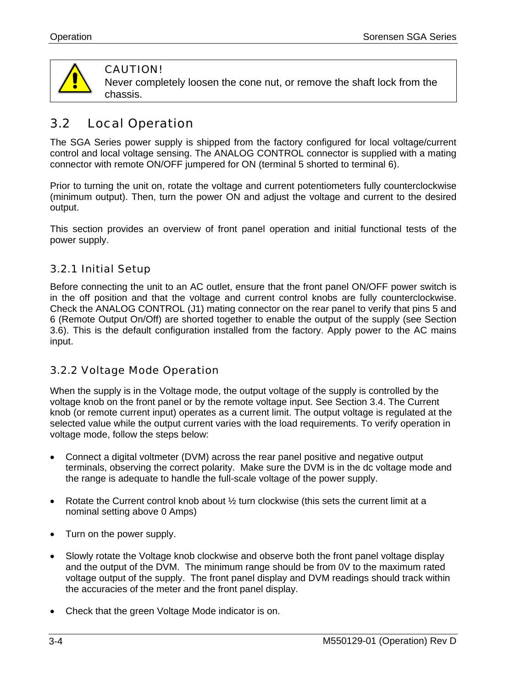<span id="page-25-0"></span>

### CAUTION!

Never completely loosen the cone nut, or remove the shaft lock from the chassis.

#### 3.2 Local Operation

The SGA Series power supply is shipped from the factory configured for local voltage/current control and local voltage sensing. The ANALOG CONTROL connector is supplied with a mating connector with remote ON/OFF jumpered for ON (terminal 5 shorted to terminal 6).

Prior to turning the unit on, rotate the voltage and current potentiometers fully counterclockwise (minimum output). Then, turn the power ON and adjust the voltage and current to the desired output.

This section provides an overview of front panel operation and initial functional tests of the power supply.

### 3.2.1 Initial Setup

Before connecting the unit to an AC outlet, ensure that the front panel ON/OFF power switch is in the off position and that the voltage and current control knobs are fully counterclockwise. Check the ANALOG CONTROL (J1) mating connector on the rear panel to verify that pins 5 and 6 (Remote Output On/Off) are shorted together to enable the output of the supply (see Section [3.6\)](#page-35-0). This is the default configuration installed from the factory. Apply power to the AC mains input.

### 3.2.2 Voltage Mode Operation

When the supply is in the Voltage mode, the output voltage of the supply is controlled by the voltage knob on the front panel or by the remote voltage input. See Section 3.4. The Current knob (or remote current input) operates as a current limit. The output voltag[e is](#page-32-0) regulated at the selected value while the output current varies with the load requirements. To verify operation in voltage mode, follow the steps below:

- Connect a digital voltmeter (DVM) across the rear panel positive and negative output terminals, observing the correct polarity. Make sure the DVM is in the dc voltage mode and the range is adequate to handle the full-scale voltage of the power supply.
- Rotate the Current control knob about  $\frac{1}{2}$  turn clockwise (this sets the current limit at a nominal setting above 0 Amps)
- Turn on the power supply.
- Slowly rotate the Voltage knob clockwise and observe both the front panel voltage display and the output of the DVM. The minimum range should be from 0V to the maximum rated voltage output of the supply. The front panel display and DVM readings should track within the accuracies of the meter and the front panel display.
- Check that the green Voltage Mode indicator is on.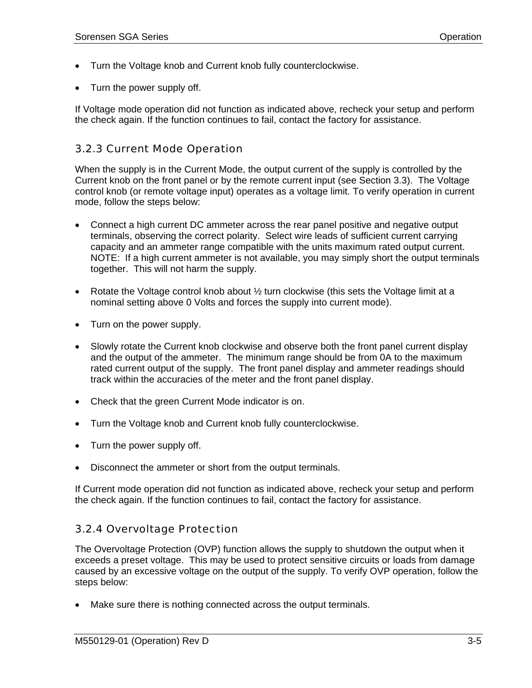- <span id="page-26-0"></span>• Turn the Voltage knob and Current knob fully counterclockwise.
- Turn the power supply off.

If Voltage mode operation did not function as indicated above, recheck your setup and perform the check again. If the function continues to fail, contact the factory for assistance.

### 3.2.3 Current Mode Operation

When the supply is in the Current Mode, the output current of the supply is controlled by the Current knob on the front panel or by the remote current input (see Section 3.3). The Voltage control knob (or remote voltage input) operates as a voltage limit. To verify [oper](#page-31-0)ation in current mode, follow the steps below:

- Connect a high current DC ammeter across the rear panel positive and negative output terminals, observing the correct polarity. Select wire leads of sufficient current carrying capacity and an ammeter range compatible with the units maximum rated output current. NOTE: If a high current ammeter is not available, you may simply short the output terminals together. This will not harm the supply.
- Rotate the Voltage control knob about 1/2 turn clockwise (this sets the Voltage limit at a nominal setting above 0 Volts and forces the supply into current mode).
- Turn on the power supply.
- Slowly rotate the Current knob clockwise and observe both the front panel current display and the output of the ammeter. The minimum range should be from 0A to the maximum rated current output of the supply. The front panel display and ammeter readings should track within the accuracies of the meter and the front panel display.
- Check that the green Current Mode indicator is on.
- Turn the Voltage knob and Current knob fully counterclockwise.
- Turn the power supply off.
- Disconnect the ammeter or short from the output terminals.

If Current mode operation did not function as indicated above, recheck your setup and perform the check again. If the function continues to fail, contact the factory for assistance.

### 3.2.4 Overvoltage Protection

The Overvoltage Protection (OVP) function allows the supply to shutdown the output when it exceeds a preset voltage. This may be used to protect sensitive circuits or loads from damage caused by an excessive voltage on the output of the supply. To verify OVP operation, follow the steps below:

Make sure there is nothing connected across the output terminals.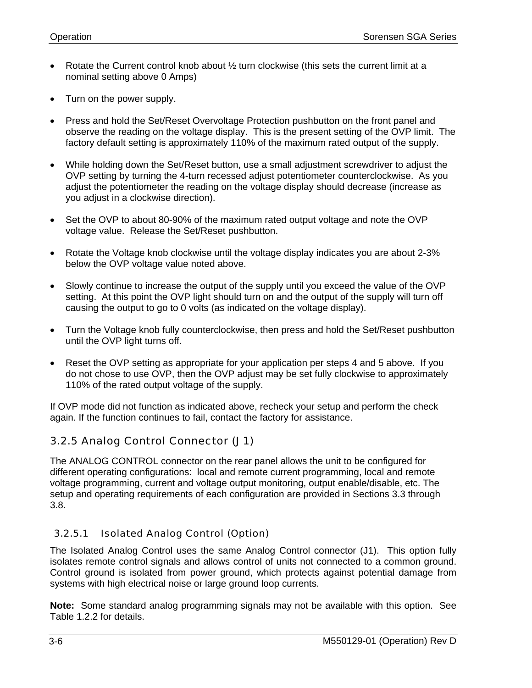- <span id="page-27-0"></span>• Rotate the Current control knob about  $\frac{1}{2}$  turn clockwise (this sets the current limit at a nominal setting above 0 Amps)
- Turn on the power supply.
- Press and hold the Set/Reset Overvoltage Protection pushbutton on the front panel and observe the reading on the voltage display. This is the present setting of the OVP limit. The factory default setting is approximately 110% of the maximum rated output of the supply.
- While holding down the Set/Reset button, use a small adjustment screwdriver to adjust the OVP setting by turning the 4-turn recessed adjust potentiometer counterclockwise. As you adjust the potentiometer the reading on the voltage display should decrease (increase as you adjust in a clockwise direction).
- Set the OVP to about 80-90% of the maximum rated output voltage and note the OVP voltage value. Release the Set/Reset pushbutton.
- Rotate the Voltage knob clockwise until the voltage display indicates you are about 2-3% below the OVP voltage value noted above.
- Slowly continue to increase the output of the supply until you exceed the value of the OVP setting. At this point the OVP light should turn on and the output of the supply will turn off causing the output to go to 0 volts (as indicated on the voltage display).
- Turn the Voltage knob fully counterclockwise, then press and hold the Set/Reset pushbutton until the OVP light turns off.
- Reset the OVP setting as appropriate for your application per steps 4 and 5 above. If you do not chose to use OVP, then the OVP adjust may be set fully clockwise to approximately 110% of the rated output voltage of the supply.

If OVP mode did not function as indicated above, recheck your setup and perform the check again. If the function continues to fail, contact the factory for assistance.

### 3.2.5 Analog Control Connector (J1)

The ANALOG CONTROL connector on the rear panel allows the unit to be configured for different operating configurations: local and remote current programming, local and remote voltage programming, current and voltage output monitoring, output enable/disable, etc. The setup and operating requirements of each configuration are provided in Sections 3.3 through 3.8.

### 3.2.5.1 Isolated Analog Control (Option)

The Isolated Analog Control uses the same Analog Control connector (J1). This option fully isolates remote control signals and allows control of units not connected to a common ground. Control ground is isolated from power ground, which protects against potential damage from systems with high electrical noise or large ground loop currents.

**Note:** Some standard analog programming signals may not be available with this option. See Table 1.2.2 for details.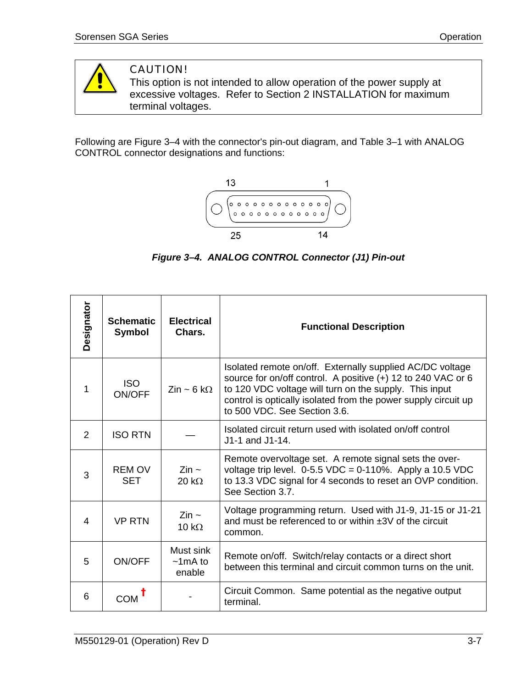<span id="page-28-0"></span>

### CAUTION!

This option is not intended to allow operation of the power supply at excessive voltages. Refer to Section 2 INSTALLATION for maximum terminal voltages.

Following are Figure 3–4 with the connector's pin-out diagram, and Table 3–1 with ANALOG CONTROL connector designations and functions:



*Figure 3–4. ANALOG CONTROL Connector (J1) Pin-out*

| Designator | <b>Schematic</b><br><b>Symbol</b> | <b>Electrical</b><br>Chars.            | <b>Functional Description</b>                                                                                                                                                                                                                                                         |  |
|------------|-----------------------------------|----------------------------------------|---------------------------------------------------------------------------------------------------------------------------------------------------------------------------------------------------------------------------------------------------------------------------------------|--|
| 1          | <b>ISO</b><br>ON/OFF              | $\mathsf{Zin} \sim 6 \mathsf{k}\Omega$ | Isolated remote on/off. Externally supplied AC/DC voltage<br>source for on/off control. A positive (+) 12 to 240 VAC or 6<br>to 120 VDC voltage will turn on the supply. This input<br>control is optically isolated from the power supply circuit up<br>to 500 VDC. See Section 3.6. |  |
| 2          | <b>ISO RTN</b>                    |                                        | Isolated circuit return used with isolated on/off control<br>J1-1 and J1-14.                                                                                                                                                                                                          |  |
| 3          | <b>REM OV</b><br>SET              | $\mathsf{Zin}\sim$<br>20 k $\Omega$    | Remote overvoltage set. A remote signal sets the over-<br>voltage trip level. $0-5.5$ VDC = $0-110\%$ . Apply a 10.5 VDC<br>to 13.3 VDC signal for 4 seconds to reset an OVP condition.<br>See Section 3.7.                                                                           |  |
| 4          | <b>VP RTN</b>                     | $\mathsf{Zin} \sim$<br>10 k $\Omega$   | Voltage programming return. Used with J1-9, J1-15 or J1-21<br>and must be referenced to or within ±3V of the circuit<br>common.                                                                                                                                                       |  |
| 5          | ON/OFF                            | Must sink<br>$\sim$ 1 mA to<br>enable  | Remote on/off. Switch/relay contacts or a direct short<br>between this terminal and circuit common turns on the unit.                                                                                                                                                                 |  |
| 6          | COM                               |                                        | Circuit Common. Same potential as the negative output<br>terminal.                                                                                                                                                                                                                    |  |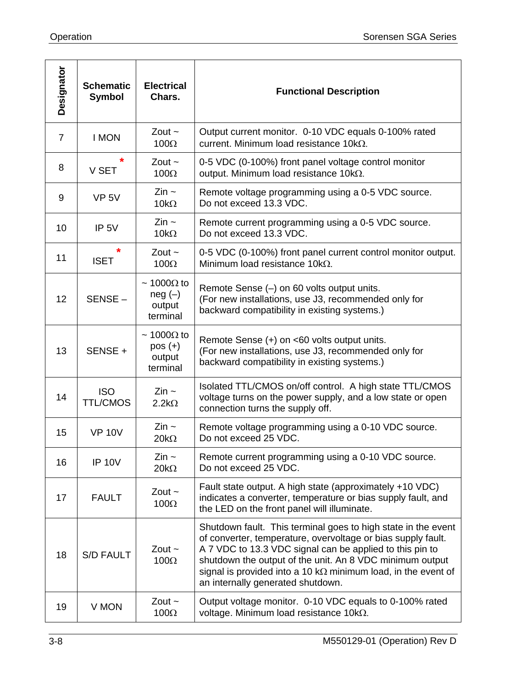| Designator      | <b>Schematic</b><br><b>Symbol</b> | <b>Electrical</b><br>Chars.                             | <b>Functional Description</b>                                                                                                                                                                                                                                                                                                                                       |
|-----------------|-----------------------------------|---------------------------------------------------------|---------------------------------------------------------------------------------------------------------------------------------------------------------------------------------------------------------------------------------------------------------------------------------------------------------------------------------------------------------------------|
| $\overline{7}$  | <b>I MON</b>                      | Zout $\sim$<br>$100\Omega$                              | Output current monitor. 0-10 VDC equals 0-100% rated<br>current. Minimum load resistance $10k\Omega$ .                                                                                                                                                                                                                                                              |
| 8               | V SET                             | Zout $\sim$<br>$100\Omega$                              | 0-5 VDC (0-100%) front panel voltage control monitor<br>output. Minimum load resistance $10k\Omega$ .                                                                                                                                                                                                                                                               |
| 9               | VP <sub>5V</sub>                  | $\mathsf{Zin}\sim$<br>$10k\Omega$                       | Remote voltage programming using a 0-5 VDC source.<br>Do not exceed 13.3 VDC.                                                                                                                                                                                                                                                                                       |
| 10              | IP <sub>5V</sub>                  | $\mathsf{Zin} \sim$<br>$10k\Omega$                      | Remote current programming using a 0-5 VDC source.<br>Do not exceed 13.3 VDC.                                                                                                                                                                                                                                                                                       |
| 11              | *<br><b>ISET</b>                  | Zout $\sim$<br>$100\Omega$                              | 0-5 VDC (0-100%) front panel current control monitor output.<br>Minimum load resistance 10k $\Omega$ .                                                                                                                                                                                                                                                              |
| 12 <sup>2</sup> | SENSE-                            | $\sim 1000\Omega$ to<br>$neg(-)$<br>output<br>terminal  | Remote Sense (-) on 60 volts output units.<br>(For new installations, use J3, recommended only for<br>backward compatibility in existing systems.)                                                                                                                                                                                                                  |
| 13              | SENSE +                           | $\sim 1000\Omega$ to<br>$pos (+)$<br>output<br>terminal | Remote Sense (+) on <60 volts output units.<br>(For new installations, use J3, recommended only for<br>backward compatibility in existing systems.)                                                                                                                                                                                                                 |
| 14              | <b>ISO</b><br><b>TTL/CMOS</b>     | $\mathsf{Zin}$ ~<br>$2.2k\Omega$                        | Isolated TTL/CMOS on/off control. A high state TTL/CMOS<br>voltage turns on the power supply, and a low state or open<br>connection turns the supply off.                                                                                                                                                                                                           |
| 15              | <b>VP 10V</b>                     | $\mathsf{Zin}\sim$<br>$20k\Omega$                       | Remote voltage programming using a 0-10 VDC source.<br>Do not exceed 25 VDC.                                                                                                                                                                                                                                                                                        |
| 16              | <b>IP 10V</b>                     | Zin $\sim$<br>$20k\Omega$                               | Remote current programming using a 0-10 VDC source.<br>Do not exceed 25 VDC.                                                                                                                                                                                                                                                                                        |
| 17              | <b>FAULT</b>                      | Zout $\sim$<br>100 $\Omega$                             | Fault state output. A high state (approximately +10 VDC)<br>indicates a converter, temperature or bias supply fault, and<br>the LED on the front panel will illuminate.                                                                                                                                                                                             |
| 18              | <b>S/D FAULT</b>                  | Zout $\sim$<br>$100\Omega$                              | Shutdown fault. This terminal goes to high state in the event<br>of converter, temperature, overvoltage or bias supply fault.<br>A 7 VDC to 13.3 VDC signal can be applied to this pin to<br>shutdown the output of the unit. An 8 VDC minimum output<br>signal is provided into a 10 k $\Omega$ minimum load, in the event of<br>an internally generated shutdown. |
| 19              | V MON                             | Zout $\sim$<br>100 $\Omega$                             | Output voltage monitor. 0-10 VDC equals to 0-100% rated<br>voltage. Minimum load resistance $10k\Omega$ .                                                                                                                                                                                                                                                           |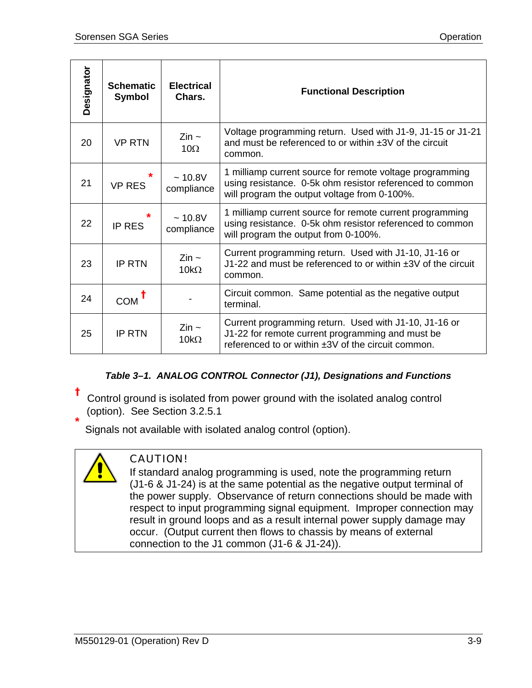<span id="page-30-0"></span>

| Designator | <b>Schematic</b><br><b>Symbol</b> | <b>Electrical</b><br>Chars.       | <b>Functional Description</b>                                                                                                                                        |
|------------|-----------------------------------|-----------------------------------|----------------------------------------------------------------------------------------------------------------------------------------------------------------------|
| 20         | <b>VP RTN</b>                     | $\mathsf{Zin}\sim$<br>$10\Omega$  | Voltage programming return. Used with J1-9, J1-15 or J1-21<br>and must be referenced to or within ±3V of the circuit<br>common.                                      |
| 21         | <b>VP RES</b>                     | ~10.8V<br>compliance              | 1 milliamp current source for remote voltage programming<br>using resistance. 0-5k ohm resistor referenced to common<br>will program the output voltage from 0-100%. |
| 22         | <b>IP RES</b>                     | ~10.8V<br>compliance              | 1 milliamp current source for remote current programming<br>using resistance. 0-5k ohm resistor referenced to common<br>will program the output from 0-100%.         |
| 23         | <b>IP RTN</b>                     | Zin $\sim$<br>$10k\Omega$         | Current programming return. Used with J1-10, J1-16 or<br>J1-22 and must be referenced to or within ±3V of the circuit<br>common.                                     |
| 24         | COM                               |                                   | Circuit common. Same potential as the negative output<br>terminal.                                                                                                   |
| 25         | <b>IP RTN</b>                     | $\mathsf{Zin}\sim$<br>$10k\Omega$ | Current programming return. Used with J1-10, J1-16 or<br>J1-22 for remote current programming and must be<br>referenced to or within ±3V of the circuit common.      |

### *Table 3–1. ANALOG CONTROL Connector (J1), Designations and Functions*

**†** Control ground is isolated from power ground with the isolated analog control (option). See Section 3.2.5.1 **\***

Signals not available with isolated analog control (option).



### CAUTION!

If standard analog programming is used, note the programming return (J1-6 & J1-24) is at the same potential as the negative output terminal of the power supply. Observance of return connections should be made with respect to input programming signal equipment. Improper connection may result in ground loops and as a result internal power supply damage may occur. (Output current then flows to chassis by means of external connection to the J1 common (J1-6 & J1-24)).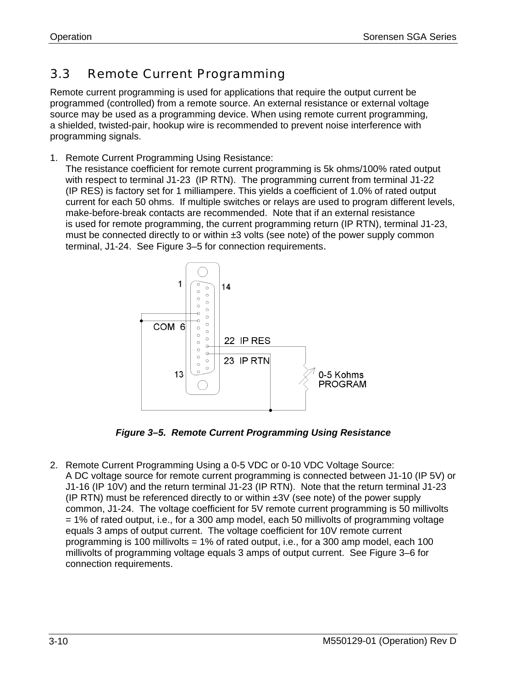## <span id="page-31-0"></span>3.3 Remote Current Programming

Remote current programming is used for applications that require the output current be programmed (controlled) from a remote source. An external resistance or external voltage source may be used as a programming device. When using remote current programming, a shielded, twisted-pair, hookup wire is recommended to prevent noise interference with programming signals.

1. Remote Current Programming Using Resistance:

The resistance coefficient for remote current programming is 5k ohms/100% rated output with respect to terminal J1-23 (IP RTN). The programming current from terminal J1-22 (IP RES) is factory set for 1 milliampere. This yields a coefficient of 1.0% of rated output current for each 50 ohms. If multiple switches or relays are used to program different levels, make-before-break contacts are recommended. Note that if an external resistance is used for remote programming, the current programming return (IP RTN), terminal J1-23, must be connected directly to or within  $\pm 3$  volts (see note) of the power supply common terminal, J1-24. See Figure 3–5 for connection requirements.



*Figure 3–5. Remote Current Programming Using Resistance* 

2. Remote Current Programming Using a 0-5 VDC or 0-10 VDC Voltage Source: A DC voltage source for remote current programming is connected between J1-10 (IP 5V) or J1-16 (IP 10V) and the return terminal J1-23 (IP RTN). Note that the return terminal J1-23 (IP RTN) must be referenced directly to or within  $\pm 3V$  (see note) of the power supply common, J1-24. The voltage coefficient for 5V remote current programming is 50 millivolts = 1% of rated output, i.e., for a 300 amp model, each 50 millivolts of programming voltage equals 3 amps of output current. The voltage coefficient for 10V remote current programming is 100 millivolts = 1% of rated output, i.e., for a 300 amp model, each 100 millivolts of programming voltage equals 3 amps of output current. See Figure 3–6 for connection requirements.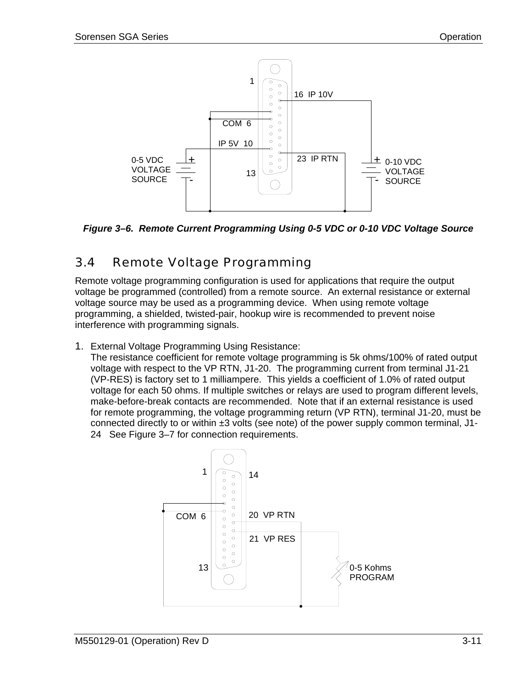<span id="page-32-0"></span>

*Figure 3–6. Remote Current Programming Using 0-5 VDC or 0-10 VDC Voltage Source* 

## 3.4 Remote Voltage Programming

Remote voltage programming configuration is used for applications that require the output voltage be programmed (controlled) from a remote source. An external resistance or external voltage source may be used as a programming device. When using remote voltage programming, a shielded, twisted-pair, hookup wire is recommended to prevent noise interference with programming signals.

1. External Voltage Programming Using Resistance:

The resistance coefficient for remote voltage programming is 5k ohms/100% of rated output voltage with respect to the VP RTN, J1-20. The programming current from terminal J1-21 (VP-RES) is factory set to 1 milliampere. This yields a coefficient of 1.0% of rated output voltage for each 50 ohms. If multiple switches or relays are used to program different levels, make-before-break contacts are recommended. Note that if an external resistance is used for remote programming, the voltage programming return (VP RTN), terminal J1-20, must be connected directly to or within  $\pm 3$  volts (see note) of the power supply common terminal, J1-24 See Figure 3–7 for connection requirements.

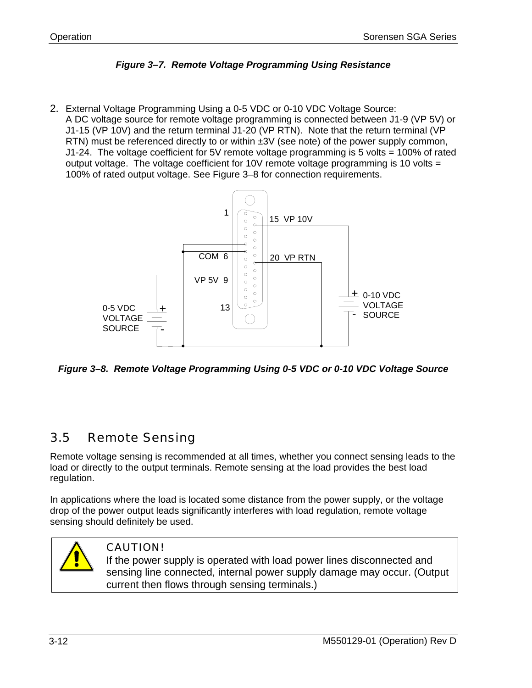

<span id="page-33-0"></span>2. External Voltage Programming Using a 0-5 VDC or 0-10 VDC Voltage Source: A DC voltage source for remote voltage programming is connected between J1-9 (VP 5V) or J1-15 (VP 10V) and the return terminal J1-20 (VP RTN). Note that the return terminal (VP RTN) must be referenced directly to or within  $\pm 3V$  (see note) of the power supply common, J1-24. The voltage coefficient for 5V remote voltage programming is 5 volts = 100% of rated output voltage. The voltage coefficient for 10V remote voltage programming is 10 volts = 100% of rated output voltage. See Figure 3–8 for connection requirements.



*Figure 3–8. Remote Voltage Programming Using 0-5 VDC or 0-10 VDC Voltage Source* 

### 3.5 Remote Sensing

Remote voltage sensing is recommended at all times, whether you connect sensing leads to the load or directly to the output terminals. Remote sensing at the load provides the best load regulation.

In applications where the load is located some distance from the power supply, or the voltage drop of the power output leads significantly interferes with load regulation, remote voltage sensing should definitely be used.



### CAUTION!

If the power supply is operated with load power lines disconnected and sensing line connected, internal power supply damage may occur. (Output current then flows through sensing terminals.)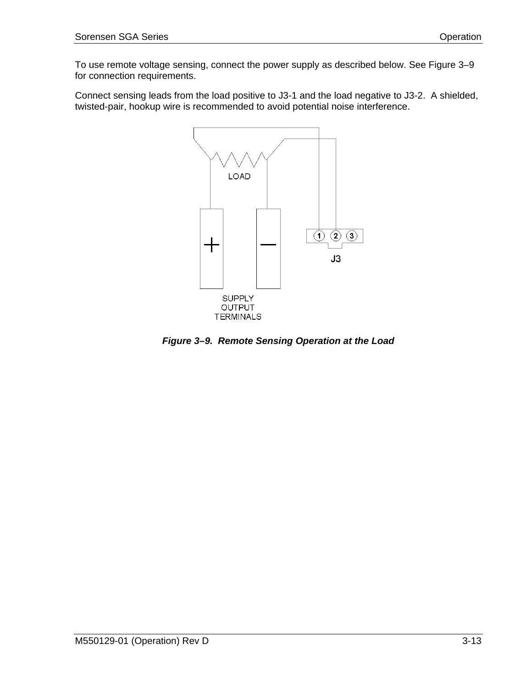<span id="page-34-0"></span>To use remote voltage sensing, connect the power supply as described below. See Figure 3–9 for connection requirements.

Connect sensing leads from the load positive to J3-1 and the load negative to J3-2. A shielded, twisted-pair, hookup wire is recommended to avoid potential noise interference.



*Figure 3–9. Remote Sensing Operation at the Load*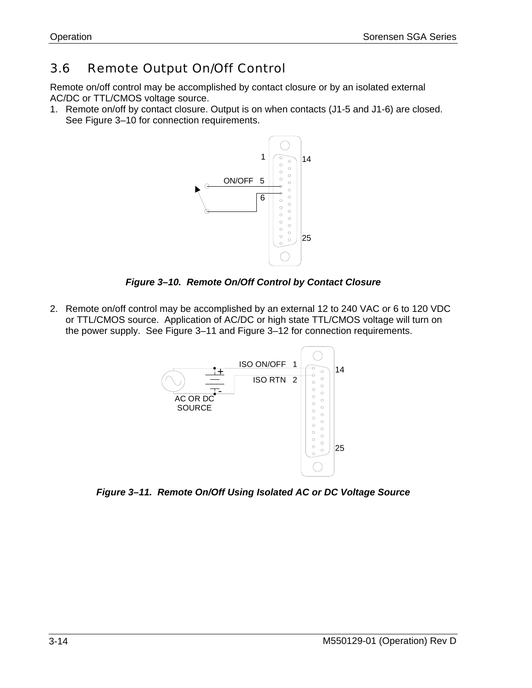### <span id="page-35-0"></span>3.6 Remote Output On/Off Control

Remote on/off control may be accomplished by contact closure or by an isolated external AC/DC or TTL/CMOS voltage source.

1. Remote on/off by contact closure. Output is on when contacts (J1-5 and J1-6) are closed. See Figure 3–10 for connection requirements.



*Figure 3–10. Remote On/Off Control by Contact Closure* 

2. Remote on/off control may be accomplished by an external 12 to 240 VAC or 6 to 120 VDC or TTL/CMOS source. Application of AC/DC or high state TTL/CMOS voltage will turn on the power supply. See Figure 3–11 and Figure 3–12 for connection requirements.



*Figure 3–11. Remote On/Off Using Isolated AC or DC Voltage Source*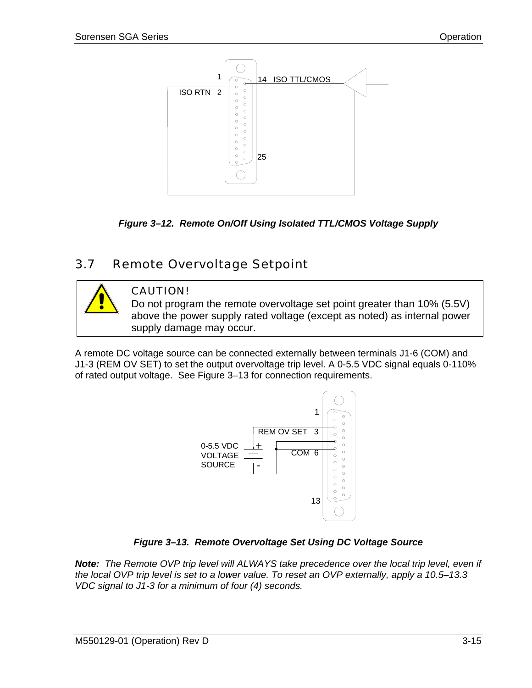<span id="page-36-0"></span>

*Figure 3–12. Remote On/Off Using Isolated TTL/CMOS Voltage Supply* 

## 3.7 Remote Overvoltage Setpoint



### CAUTION!

Do not program the remote overvoltage set point greater than 10% (5.5V) above the power supply rated voltage (except as noted) as internal power supply damage may occur.

A remote DC voltage source can be connected externally between terminals J1-6 (COM) and J1-3 (REM OV SET) to set the output overvoltage trip level. A 0-5.5 VDC signal equals 0-110% of rated output voltage. See Figure 3–13 for connection requirements.



### *Figure 3–13. Remote Overvoltage Set Using DC Voltage Source*

*Note: The Remote OVP trip level will ALWAYS take precedence over the local trip level, even if the local OVP trip level is set to a lower value. To reset an OVP externally, apply a 10.5–13.3 VDC signal to J1-3 for a minimum of four (4) seconds.*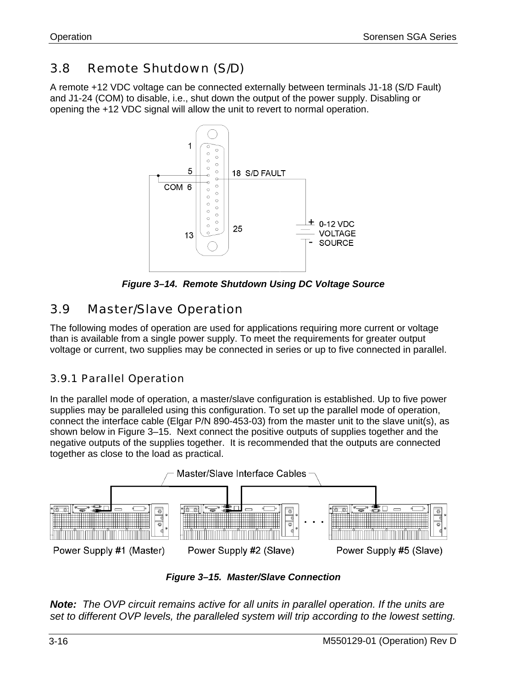### <span id="page-37-0"></span>3.8 Remote Shutdown (S/D)

A remote +12 VDC voltage can be connected externally between terminals J1-18 (S/D Fault) and J1-24 (COM) to disable, i.e., shut down the output of the power supply. Disabling or opening the +12 VDC signal will allow the unit to revert to normal operation.



*Figure 3–14. Remote Shutdown Using DC Voltage Source* 

#### 3.9 Master/Slave Operation

The following modes of operation are used for applications requiring more current or voltage than is available from a single power supply. To meet the requirements for greater output voltage or current, two supplies may be connected in series or up to five connected in parallel.

### 3.9.1 Parallel Operation

In the parallel mode of operation, a master/slave configuration is established. Up to five power supplies may be paralleled using this configuration. To set up the parallel mode of operation, connect the interface cable (Elgar P/N 890-453-03) from the master unit to the slave unit(s), as shown below in Figure 3–15. Next connect the positive outputs of supplies together and the negative outputs of the supplies together. It is recommended that the outputs are connected together as close to the load as practical.



*Figure 3–15. Master/Slave Connection* 

*Note: The OVP circuit remains active for all units in parallel operation. If the units are set to different OVP levels, the paralleled system will trip according to the lowest setting.*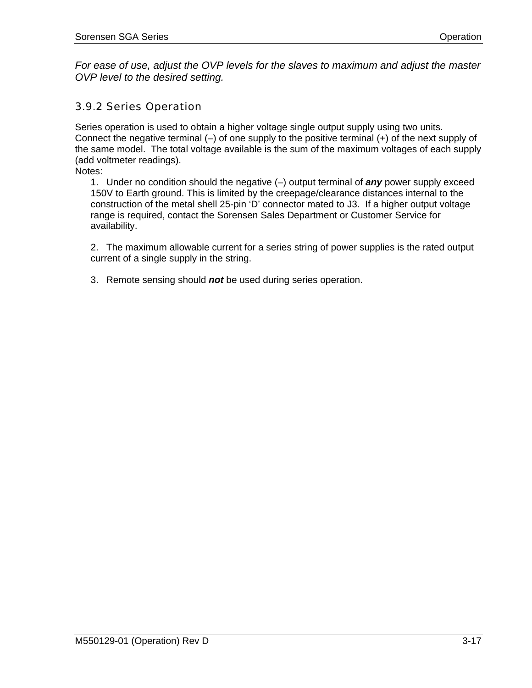<span id="page-38-0"></span>*For ease of use, adjust the OVP levels for the slaves to maximum and adjust the master OVP level to the desired setting.* 

### 3.9.2 Series Operation

Series operation is used to obtain a higher voltage single output supply using two units. Connect the negative terminal (–) of one supply to the positive terminal (+) of the next supply of the same model. The total voltage available is the sum of the maximum voltages of each supply (add voltmeter readings).

Notes:

1. Under no condition should the negative (–) output terminal of *any* power supply exceed 150V to Earth ground. This is limited by the creepage/clearance distances internal to the construction of the metal shell 25-pin 'D' connector mated to J3. If a higher output voltage range is required, contact the Sorensen Sales Department or Customer Service for availability.

2. The maximum allowable current for a series string of power supplies is the rated output current of a single supply in the string.

3. Remote sensing should *not* be used during series operation.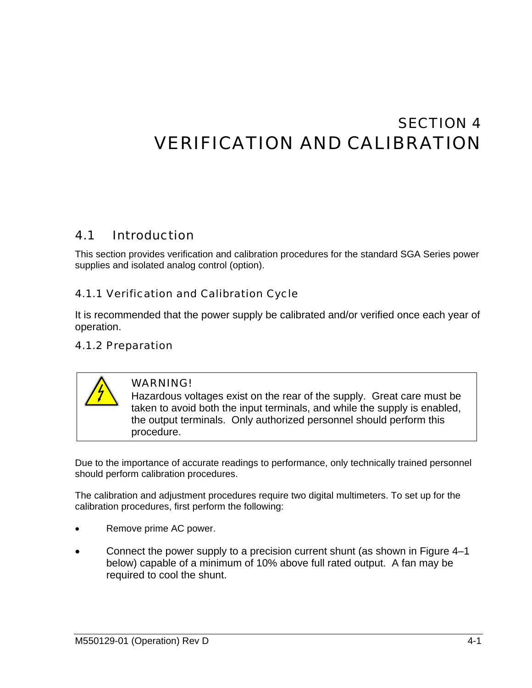# <span id="page-39-0"></span>SECTION 4 VERIFICATION AND CALIBRATION

#### 4.1 Introduction

This section provides verification and calibration procedures for the standard SGA Series power supplies and isolated analog control (option).

### 4.1.1 Verification and Calibration Cycle

It is recommended that the power supply be calibrated and/or verified once each year of operation.

### 4.1.2 Preparation



### WARNING!

Hazardous voltages exist on the rear of the supply. Great care must be taken to avoid both the input terminals, and while the supply is enabled, the output terminals. Only authorized personnel should perform this procedure.

Due to the importance of accurate readings to performance, only technically trained personnel should perform calibration procedures.

The calibration and adjustment procedures require two digital multimeters. To set up for the calibration procedures, first perform the following:

- Remove prime AC power.
- Connect the power supply to a precision current shunt (as shown in [Figure 4–1](#page-40-0)  below) capable of a minimum of 10% above full rated output. A fan may be required to cool the shunt.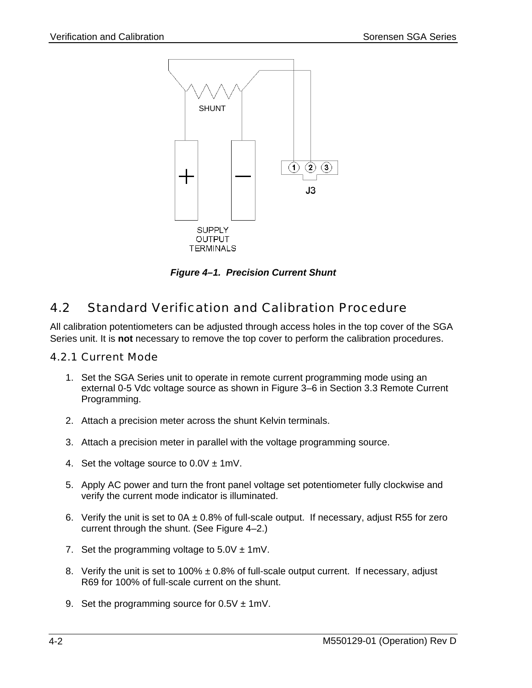<span id="page-40-0"></span>

*Figure 4–1. Precision Current Shunt* 

#### 4.2 Standard Verification and Calibration Procedure

All calibration potentiometers can be adjusted through access holes in the top cover of the SGA Series unit. It is **not** necessary to remove the top cover to perform the calibration procedures.

### 4.2.1 Current Mode

- 1. Set the SGA Series unit to operate in remote current programming mode using an external 0-5 Vdc voltage source as shown in Figure 3–6 in Section 3.3 Remote Current Programming.
- 2. Attach a precision meter across the shunt Ke[lvin termina](#page-32-0)ls.
- 3. Attach a precision meter in parallel with the voltage programming source.
- 4. Set the voltage source to  $0.0V \pm 1$  mV.
- 5. Apply AC power and turn the front panel voltage set potentiometer fully clockwise and verify the current mode indicator is illuminated.
- 6. Verify the unit is set to  $0A \pm 0.8\%$  of full-scale output. If necessary, adjust R55 for zero current through the shunt. (See Figure 4–2.)
- 7. Set the programming voltage to  $5.0V \pm 1mV$ .
- 8. Verify the unit is set to 100%  $\pm$  0.8% of full-scale output current. If necessary, adjust R69 for 100% of full-scale current on the shunt.
- 9. Set the programming source for  $0.5V \pm 1$  mV.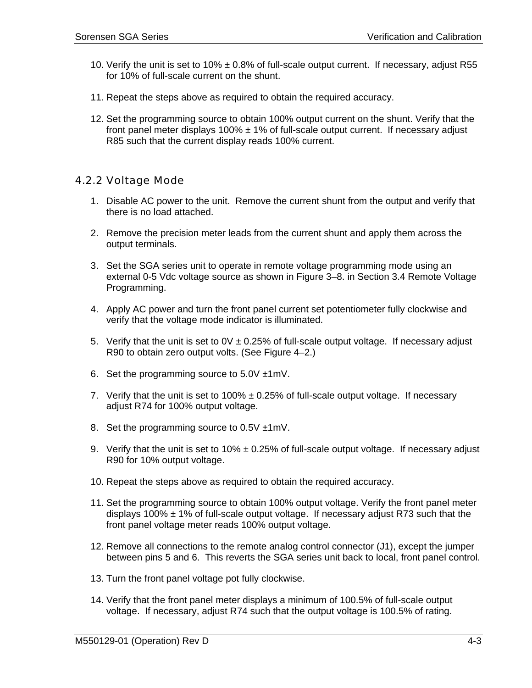- <span id="page-41-0"></span>10. Verify the unit is set to 10%  $\pm$  0.8% of full-scale output current. If necessary, adjust R55 for 10% of full-scale current on the shunt.
- 11. Repeat the steps above as required to obtain the required accuracy.
- 12. Set the programming source to obtain 100% output current on the shunt. Verify that the front panel meter displays  $100\% \pm 1\%$  of full-scale output current. If necessary adjust R85 such that the current display reads 100% current.

### 4.2.2 Voltage Mode

- 1. Disable AC power to the unit. Remove the current shunt from the output and verify that there is no load attached.
- 2. Remove the precision meter leads from the current shunt and apply them across the output terminals.
- 3. Set the SGA series unit to operate in remote voltage programming mode using an external 0-5 Vdc voltage source as shown in Figure 3–8. in Section 3.4 Remote Voltage Programming.
- 4. Apply AC power and turn the front panel current set potentiometer fully clockwise and verify that the voltage mode indicator is illuminated.
- 5. Verify that the unit is set to  $0V \pm 0.25\%$  of full-scale output voltage. If necessary adjust R90 to obtain zero output volts. (See Figure 4–2.)
- 6. Set the programming source to  $5.0V \pm 1$  mV.
- 7. Verify that the unit is set to  $100\% \pm 0.25\%$  of full-scale output voltage. If necessary adjust R74 for 100% output voltage.
- 8. Set the programming source to  $0.5V \pm 1$  mV.
- 9. Verify that the unit is set to 10%  $\pm$  0.25% of full-scale output voltage. If necessary adjust R90 for 10% output voltage.
- 10. Repeat the steps above as required to obtain the required accuracy.
- 11. Set the programming source to obtain 100% output voltage. Verify the front panel meter displays 100%  $\pm$  1% of full-scale output voltage. If necessary adjust R73 such that the front panel voltage meter reads 100% output voltage.
- 12. Remove all connections to the remote analog control connector (J1), except the jumper between pins 5 and 6. This reverts the SGA series unit back to local, front panel control.
- 13. Turn the front panel voltage pot fully clockwise.
- 14. Verify that the front panel meter displays a minimum of 100.5% of full-scale output voltage. If necessary, adjust R74 such that the output voltage is 100.5% of rating.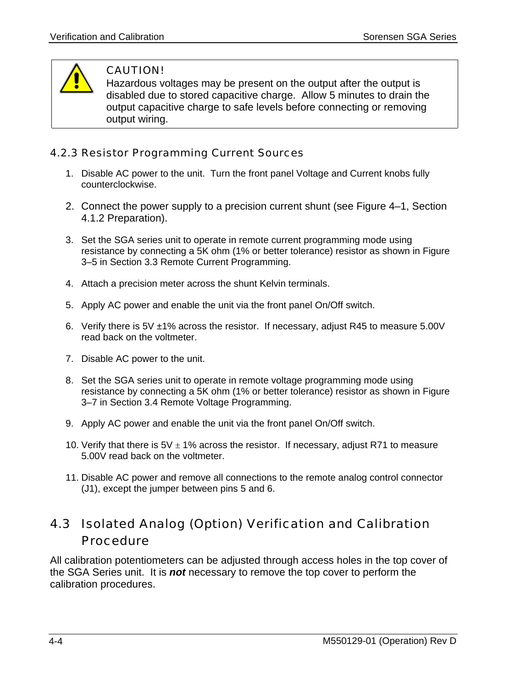<span id="page-42-0"></span>

### CAUTION!

Hazardous voltages may be present on the output after the output is disabled due to stored capacitive charge. Allow 5 minutes to drain the output capacitive charge to safe levels before connecting or removing output wiring.

### 4.2.3 Resistor Programming Current Sources

- 1. Disable AC power to the unit. Turn the front panel Voltage and Current knobs fully counterclockwise.
- 2. Connect the power supply to a precision current shunt (see Figure 4–1, Section 4.1.2 Preparation).
- 3. Set the SGA series unit to operate in remote current programmin[g mode using](#page-40-0) resistance by connecting a 5K ohm (1% or better tolerance) resistor as shown in Figure 3–5 in Section 3.3 Remote Current Programming.
- 4. Attach a precision meter across the shunt Kelvin terminals.
- 5. [Appl](#page-31-0)y AC power and enable the unit via the front panel On/Off switch.
- 6. Verify there is 5V ±1% across the resistor. If necessary, adjust R45 to measure 5.00V read back on the voltmeter.
- 7. Disable AC power to the unit.
- 8. Set the SGA series unit to operate in remote voltage programming mode using resistance by connecting a 5K ohm (1% or better tolerance) resistor as shown in Figure 3–7 in Section 3.4 Remote Voltage Programming.
- 9. Apply AC power and enable the unit via the front panel On/Off switch.
- 10. Verify that there is  $5V \pm 1\%$  across the resistor. If necessary, adjust R71 to measure 5.00V read back on the voltmeter.
- 11. Disable AC power and remove all connections to the remote analog control connector (J1), except the jumper between pins 5 and 6.

## 4.3 Isolated Analog (Option) Verification and Calibration Procedure

All calibration potentiometers can be adjusted through access holes in the top cover of the SGA Series unit. It is *not* necessary to remove the top cover to perform the calibration procedures.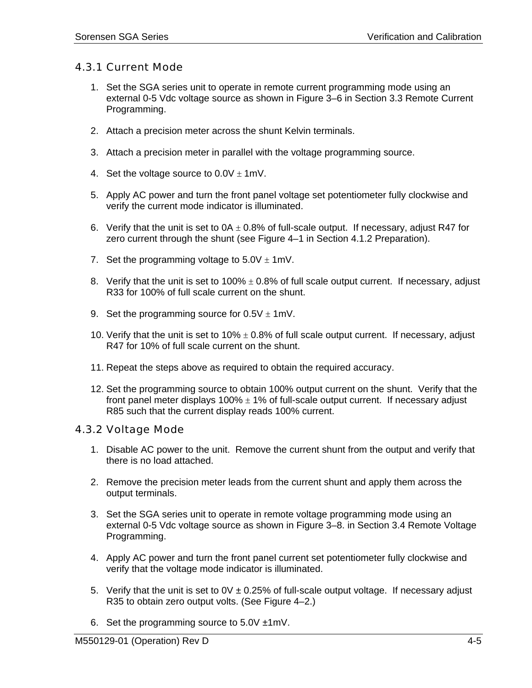### <span id="page-43-0"></span>4.3.1 Current Mode

- 1. Set the SGA series unit to operate in remote current programming mode using an external 0-5 Vdc voltage source as shown in [Figure 3–6](#page-32-0) in Section 3.3 Remote Current Programming.
- 2. Attach a precision meter across the shunt Kelvin terminals.
- 3. Attach a precision meter in parallel with the voltage programming source.
- 4. Set the voltage source to  $0.0V \pm 1$  mV.
- 5. Apply AC power and turn the front panel voltage set potentiometer fully clockwise and verify the current mode indicator is illuminated.
- 6. Verify that the unit is set to  $0A \pm 0.8\%$  of full-scale output. If necessary, adjust R47 for zero current through the shunt (see [Figure 4–1](#page-40-0) in Section 4.1.2 Preparation).
- 7. Set the programming voltage to  $5.0V \pm 1mV$ .
- 8. Verify that the unit is set to 100%  $\pm$  0.8% of full scale output current. If necessary, adjust R33 for 100% of full scale current on the shunt.
- 9. Set the programming source for  $0.5V \pm 1$  mV.
- 10. Verify that the unit is set to 10%  $\pm$  0.8% of full scale output current. If necessary, adjust R47 for 10% of full scale current on the shunt.
- 11. Repeat the steps above as required to obtain the required accuracy.
- 12. Set the programming source to obtain 100% output current on the shunt. Verify that the front panel meter displays  $100\% \pm 1\%$  of full-scale output current. If necessary adjust R85 such that the current display reads 100% current.

### 4.3.2 Voltage Mode

- 1. Disable AC power to the unit. Remove the current shunt from the output and verify that there is no load attached.
- 2. Remove the precision meter leads from the current shunt and apply them across the output terminals.
- 3. Set the SGA series unit to operate in remote voltage programming mode using an external 0-5 Vdc voltage source as shown in [Figure 3–8.](#page-33-0) in Section 3.4 Remote Voltage Programming.
- 4. Apply AC power and turn the front panel current set potentiometer fully clockwise and verify that the voltage mode indicator is illuminated.
- 5. Verify that the unit is set to  $0V \pm 0.25\%$  of full-scale output voltage. If necessary adjust R35 to obtain zero output volts. (See [Figure 4–2.](#page-45-0))
- 6. Set the programming source to  $5.0V \pm 1$  mV.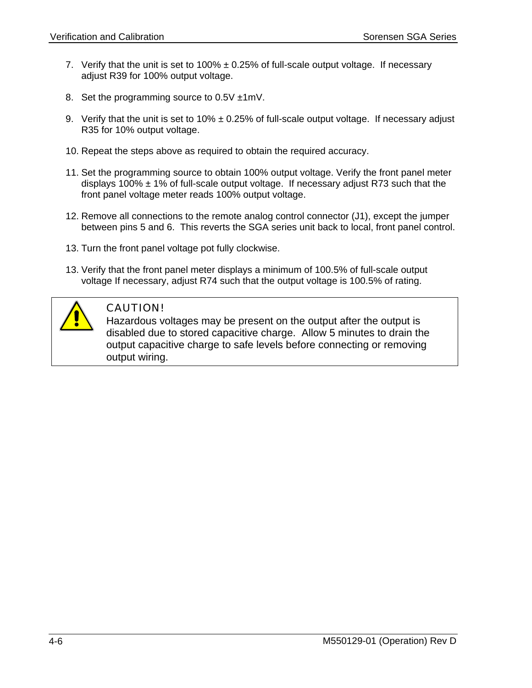- 7. Verify that the unit is set to  $100\% \pm 0.25\%$  of full-scale output voltage. If necessary adjust R39 for 100% output voltage.
- 8. Set the programming source to 0.5V  $\pm$ 1mV.
- 9. Verify that the unit is set to  $10\% \pm 0.25\%$  of full-scale output voltage. If necessary adjust R35 for 10% output voltage.
- 10. Repeat the steps above as required to obtain the required accuracy.
- 11. Set the programming source to obtain 100% output voltage. Verify the front panel meter displays 100%  $\pm$  1% of full-scale output voltage. If necessary adjust R73 such that the front panel voltage meter reads 100% output voltage.
- 12. Remove all connections to the remote analog control connector (J1), except the jumper between pins 5 and 6. This reverts the SGA series unit back to local, front panel control.
- 13. Turn the front panel voltage pot fully clockwise.
- 13. Verify that the front panel meter displays a minimum of 100.5% of full-scale output voltage If necessary, adjust R74 such that the output voltage is 100.5% of rating.



### CAUTION!

Hazardous voltages may be present on the output after the output is disabled due to stored capacitive charge. Allow 5 minutes to drain the output capacitive charge to safe levels before connecting or removing output wiring.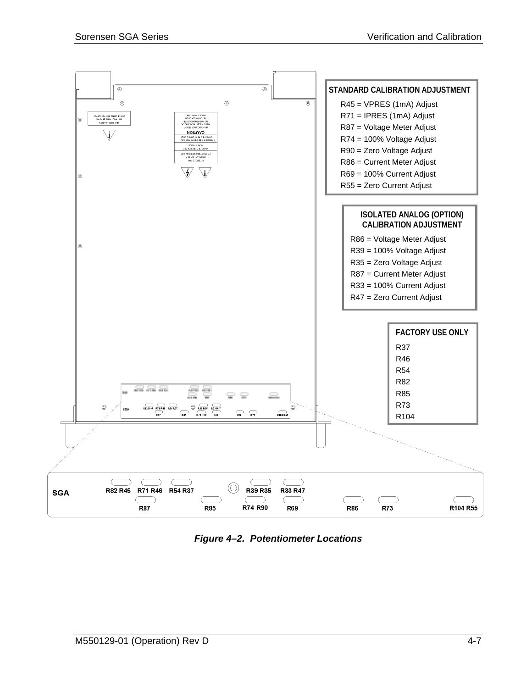<span id="page-45-0"></span>

*Figure 4–2. Potentiometer Locations*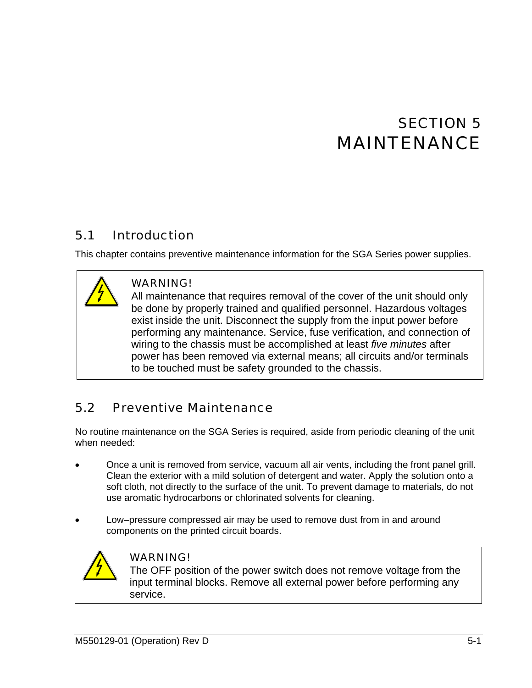# SECTION 5 MAINTENANCE

#### <span id="page-46-0"></span>5.1 Introduction

This chapter contains preventive maintenance information for the SGA Series power supplies.



### WARNING!

All maintenance that requires removal of the cover of the unit should only be done by properly trained and qualified personnel. Hazardous voltages exist inside the unit. Disconnect the supply from the input power before performing any maintenance. Service, fuse verification, and connection of wiring to the chassis must be accomplished at least *five minutes* after power has been removed via external means; all circuits and/or terminals to be touched must be safety grounded to the chassis.

### 5.2 Preventive Maintenance

No routine maintenance on the SGA Series is required, aside from periodic cleaning of the unit when needed:

- Once a unit is removed from service, vacuum all air vents, including the front panel grill. Clean the exterior with a mild solution of detergent and water. Apply the solution onto a soft cloth, not directly to the surface of the unit. To prevent damage to materials, do not use aromatic hydrocarbons or chlorinated solvents for cleaning.
- Low–pressure compressed air may be used to remove dust from in and around components on the printed circuit boards.



### WARNING!

The OFF position of the power switch does not remove voltage from the input terminal blocks. Remove all external power before performing any service.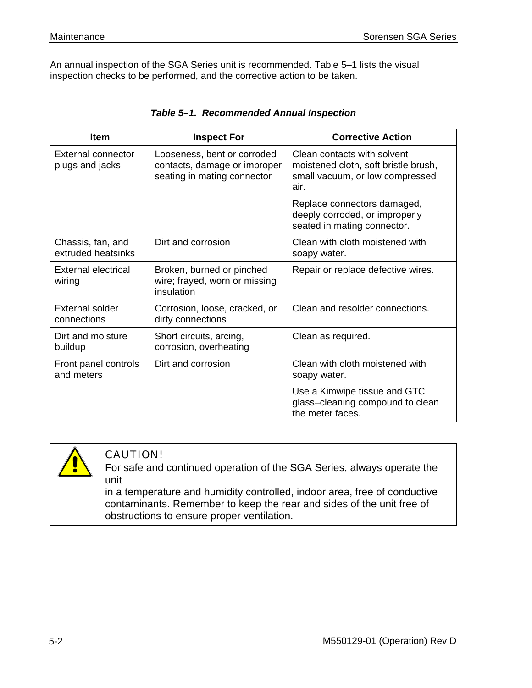<span id="page-47-0"></span>An annual inspection of the SGA Series unit is recommended. Table 5–1 lists the visual inspection checks to be performed, and the corrective action to be taken.

| <b>Item</b>                             | <b>Inspect For</b>                                                                         | <b>Corrective Action</b>                                                                                       |
|-----------------------------------------|--------------------------------------------------------------------------------------------|----------------------------------------------------------------------------------------------------------------|
| External connector<br>plugs and jacks   | Looseness, bent or corroded<br>contacts, damage or improper<br>seating in mating connector | Clean contacts with solvent<br>moistened cloth, soft bristle brush,<br>small vacuum, or low compressed<br>air. |
|                                         |                                                                                            | Replace connectors damaged,<br>deeply corroded, or improperly<br>seated in mating connector.                   |
| Chassis, fan, and<br>extruded heatsinks | Dirt and corrosion                                                                         | Clean with cloth moistened with<br>soapy water.                                                                |
| External electrical<br>wiring           | Broken, burned or pinched<br>wire; frayed, worn or missing<br>insulation                   | Repair or replace defective wires.                                                                             |
| External solder<br>connections          | Corrosion, loose, cracked, or<br>dirty connections                                         | Clean and resolder connections.                                                                                |
| Dirt and moisture<br>buildup            | Short circuits, arcing,<br>corrosion, overheating                                          | Clean as required.                                                                                             |
| Front panel controls<br>and meters      | Dirt and corrosion                                                                         | Clean with cloth moistened with<br>soapy water.                                                                |
|                                         |                                                                                            | Use a Kimwipe tissue and GTC<br>glass-cleaning compound to clean<br>the meter faces.                           |

### *Table 5–1. Recommended Annual Inspection*



### CAUTION!

For safe and continued operation of the SGA Series, always operate the unit

in a temperature and humidity controlled, indoor area, free of conductive contaminants. Remember to keep the rear and sides of the unit free of obstructions to ensure proper ventilation.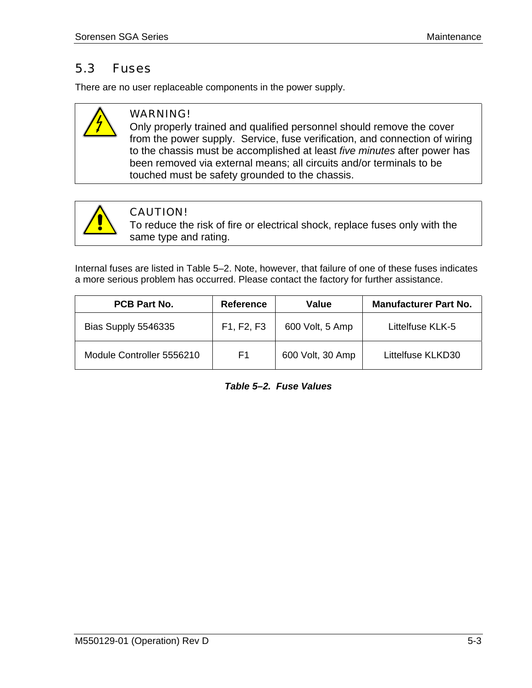### <span id="page-48-0"></span>5.3 Fuses

There are no user replaceable components in the power supply.



### WARNING!

Only properly trained and qualified personnel should remove the cover from the power supply. Service, fuse verification, and connection of wiring to the chassis must be accomplished at least *five minutes* after power has been removed via external means; all circuits and/or terminals to be touched must be safety grounded to the chassis.



### CAUTION!

To reduce the risk of fire or electrical shock, replace fuses only with the same type and rating.

Internal fuses are listed in Table 5–2. Note, however, that failure of one of these fuses indicates a more serious problem has occurred. Please contact the factory for further assistance.

| <b>PCB Part No.</b>       | <b>Reference</b>                                 | Value            | <b>Manufacturer Part No.</b> |
|---------------------------|--------------------------------------------------|------------------|------------------------------|
| Bias Supply 5546335       | F <sub>1</sub> , F <sub>2</sub> , F <sub>3</sub> | 600 Volt, 5 Amp  | Littelfuse KLK-5             |
| Module Controller 5556210 | F1                                               | 600 Volt, 30 Amp | Littelfuse KLKD30            |

*Table 5–2. Fuse Values*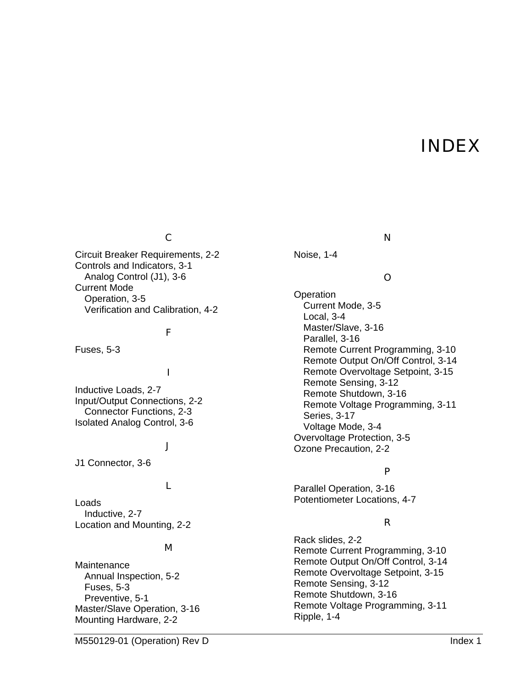## INDEX

### C

Circuit Breaker Requirements, 2-2 Controls and Indicators, 3-1 Analog Control (J1), 3-6 Current Mode Operation, 3-5 Verification and Calibration, 4-2

### F

Fuses, 5-3

### I

Inductive Loads, 2-7 Input/Output Connections, 2-2 Connector Functions, 2-3 Isolated Analog Control, 3-6

#### J

J1 Connector, 3-6

### L

Loads Inductive, 2-7 Location and Mounting, 2-2

#### M

**Maintenance** Annual Inspection, 5-2 Fuses, 5-3 Preventive, 5-1 Master/Slave Operation, 3-16 Mounting Hardware, 2-2

#### N

Noise, 1-4

### O

**Operation** Current Mode, 3-5 Local, 3-4 Master/Slave, 3-16 Parallel, 3-16 Remote Current Programming, 3-10 Remote Output On/Off Control, 3-14 Remote Overvoltage Setpoint, 3-15 Remote Sensing, 3-12 Remote Shutdown, 3-16 Remote Voltage Programming, 3-11 Series, 3-17 Voltage Mode, 3-4 Overvoltage Protection, 3-5 Ozone Precaution, 2-2

### P

Parallel Operation, 3-16 Potentiometer Locations, 4-7

### R

Rack slides, 2-2 Remote Current Programming, 3-10 Remote Output On/Off Control, 3-14 Remote Overvoltage Setpoint, 3-15 Remote Sensing, 3-12 Remote Shutdown, 3-16 Remote Voltage Programming, 3-11 Ripple, 1-4